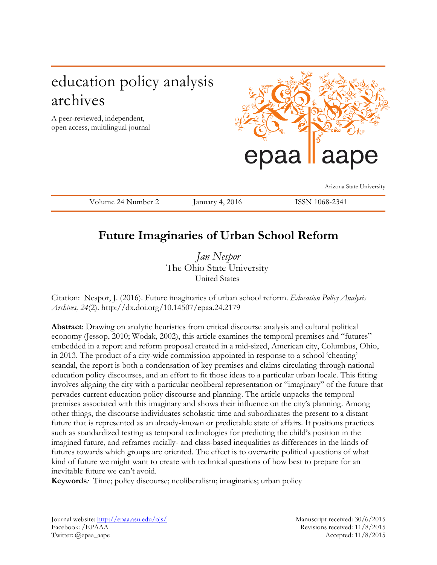# education policy analysis archives

A peer-reviewed, independent, open access, multilingual journal



Volume 24 Number 2 January 4, 2016 ISSN 1068-2341

Arizona State University

## **Future Imaginaries of Urban School Reform**

*Jan Nespor*  The Ohio State University United States

Citation: Nespor, J. (2016). Future imaginaries of urban school reform. *Education Policy Analysis Archives, 24*(2). http://dx.doi.org/10.14507/epaa.24.2179

**Abstract**: Drawing on analytic heuristics from critical discourse analysis and cultural political economy (Jessop, 2010; Wodak, 2002), this article examines the temporal premises and "futures" embedded in a report and reform proposal created in a mid-sized, American city, Columbus, Ohio, in 2013. The product of a city-wide commission appointed in response to a school 'cheating' scandal, the report is both a condensation of key premises and claims circulating through national education policy discourses, and an effort to fit those ideas to a particular urban locale. This fitting involves aligning the city with a particular neoliberal representation or "imaginary" of the future that pervades current education policy discourse and planning. The article unpacks the temporal premises associated with this imaginary and shows their influence on the city's planning. Among other things, the discourse individuates scholastic time and subordinates the present to a distant future that is represented as an already-known or predictable state of affairs. It positions practices such as standardized testing as temporal technologies for predicting the child's position in the imagined future, and reframes racially- and class-based inequalities as differences in the kinds of futures towards which groups are oriented. The effect is to overwrite political questions of what kind of future we might want to create with technical questions of how best to prepare for an inevitable future we can't avoid.

**Keywords***:* Time; policy discourse; neoliberalism; imaginaries; urban policy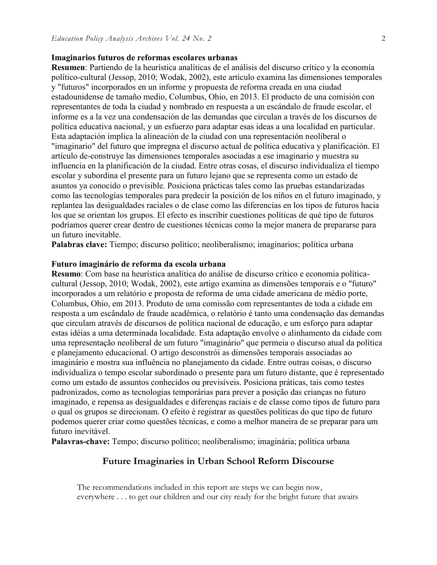#### **Imaginarios futuros de reformas escolares urbanas**

**Resumen**: Partiendo de la heurística analíticas de el análisis del discurso crítico y la economía político-cultural (Jessop, 2010; Wodak, 2002), este artículo examina las dimensiones temporales y "futuros" incorporados en un informe y propuesta de reforma creada en una ciudad estadounidense de tamaño medio, Columbus, Ohio, en 2013. El producto de una comisión con representantes de toda la ciudad y nombrado en respuesta a un escándalo de fraude escolar, el informe es a la vez una condensación de las demandas que circulan a través de los discursos de política educativa nacional, y un esfuerzo para adaptar esas ideas a una localidad en particular. Esta adaptación implica la alineación de la ciudad con una representación neoliberal o "imaginario" del futuro que impregna el discurso actual de política educativa y planificación. El artículo de-construye las dimensiones temporales asociadas a ese imaginario y muestra su influencia en la planificación de la ciudad. Entre otras cosas, el discurso individualiza el tiempo escolar y subordina el presente para un futuro lejano que se representa como un estado de asuntos ya conocido o previsible. Posiciona prácticas tales como las pruebas estandarizadas como las tecnologías temporales para predecir la posición de los niños en el futuro imaginado, y replantea las desigualdades raciales o de clase como las diferencias en los tipos de futuros hacia los que se orientan los grupos. El efecto es inscribir cuestiones políticas de qué tipo de futuros podríamos querer crear dentro de cuestiones técnicas como la mejor manera de prepararse para un futuro inevitable.

**Palabras clave:** Tiempo; discurso político; neoliberalismo; imaginarios; política urbana

#### **Futuro imaginário de reforma da escola urbana**

**Resumo**: Com base na heurística analítica do análise de discurso crítico e economia políticacultural (Jessop, 2010; Wodak, 2002), este artigo examina as dimensões temporais e o "futuro" incorporados a um relatório e proposta de reforma de uma cidade americana de médio porte, Columbus, Ohio, em 2013. Produto de uma comissão com representantes de toda a cidade em resposta a um escândalo de fraude acadêmica, o relatório é tanto uma condensação das demandas que circulam através de discursos de política nacional de educação, e um esforço para adaptar estas idéias a uma determinada localidade. Esta adaptação envolve o alinhamento da cidade com uma representação neoliberal de um futuro "imaginário" que permeia o discurso atual da política e planejamento educacional. O artigo desconstrói as dimensões temporais associadas ao imaginário e mostra sua influência no planejamento da cidade. Entre outras coisas, o discurso individualiza o tempo escolar subordinado o presente para um futuro distante, que é representado como um estado de assuntos conhecidos ou previsíveis. Posiciona práticas, tais como testes padronizados, como as tecnologias temporárias para prever a posição das crianças no futuro imaginado, e repensa as desigualdades e diferenças raciais e de classe como tipos de futuro para o qual os grupos se direcionam. O efeito é registrar as questões políticas do que tipo de futuro podemos querer criar como questões técnicas, e como a melhor maneira de se preparar para um futuro inevitável.

**Palavras-chave:** Tempo; discurso político; neoliberalismo; imaginária; política urbana

#### **Future Imaginaries in Urban School Reform Discourse**

The recommendations included in this report are steps we can begin now, everywhere . . . to get our children and our city ready for the bright future that awaits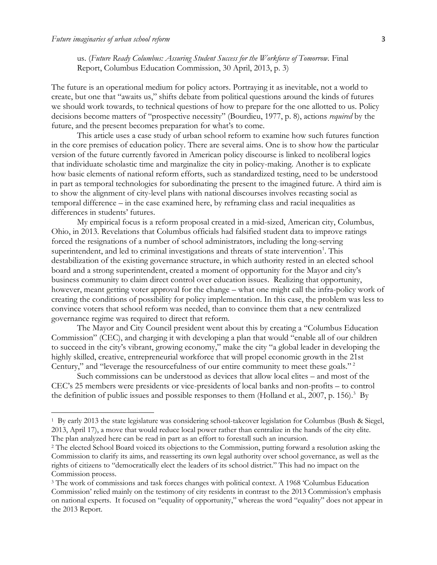l

us. (*Future Ready Columbus: Assuring Student Success for the Workforce of Tomorrow*. Final Report, Columbus Education Commission, 30 April, 2013, p. 3)

The future is an operational medium for policy actors. Portraying it as inevitable, not a world to create, but one that "awaits us," shifts debate from political questions around the kinds of futures we should work towards, to technical questions of how to prepare for the one allotted to us. Policy decisions become matters of "prospective necessity" (Bourdieu, 1977, p. 8), actions *required* by the future, and the present becomes preparation for what's to come.

This article uses a case study of urban school reform to examine how such futures function in the core premises of education policy. There are several aims. One is to show how the particular version of the future currently favored in American policy discourse is linked to neoliberal logics that individuate scholastic time and marginalize the city in policy-making. Another is to explicate how basic elements of national reform efforts, such as standardized testing, need to be understood in part as temporal technologies for subordinating the present to the imagined future. A third aim is to show the alignment of city-level plans with national discourses involves recasting social as temporal difference – in the case examined here, by reframing class and racial inequalities as differences in students' futures.

My empirical focus is a reform proposal created in a mid-sized, American city, Columbus, Ohio, in 2013. Revelations that Columbus officials had falsified student data to improve ratings forced the resignations of a number of school administrators, including the long-serving superintendent, and led to criminal investigations and threats of state intervention<sup>1</sup>. This destabilization of the existing governance structure, in which authority rested in an elected school board and a strong superintendent, created a moment of opportunity for the Mayor and city's business community to claim direct control over education issues. Realizing that opportunity, however, meant getting voter approval for the change – what one might call the infra-policy work of creating the conditions of possibility for policy implementation. In this case, the problem was less to convince voters that school reform was needed, than to convince them that a new centralized governance regime was required to direct that reform.

The Mayor and City Council president went about this by creating a "Columbus Education Commission" (CEC), and charging it with developing a plan that would "enable all of our children to succeed in the city's vibrant, growing economy," make the city "a global leader in developing the highly skilled, creative, entrepreneurial workforce that will propel economic growth in the 21st Century," and "leverage the resourcefulness of our entire community to meet these goals."<sup>2</sup>

Such commissions can be understood as devices that allow local elites – and most of the CEC's 25 members were presidents or vice-presidents of local banks and non-profits – to control the definition of public issues and possible responses to them (Holland et al., 2007, p. 156).<sup>3</sup> By

<sup>&</sup>lt;sup>1</sup> By early 2013 the state legislature was considering school-takeover legislation for Columbus (Bush & Siegel, 2013, April 17), a move that would reduce local power rather than centralize in the hands of the city elite. The plan analyzed here can be read in part as an effort to forestall such an incursion.

<sup>&</sup>lt;sup>2</sup> The elected School Board voiced its objections to the Commission, putting forward a resolution asking the Commission to clarify its aims, and reasserting its own legal authority over school governance, as well as the rights of citizens to "democratically elect the leaders of its school district." This had no impact on the Commission process.

<sup>&</sup>lt;sup>3</sup> The work of commissions and task forces changes with political context. A 1968 'Columbus Education Commission' relied mainly on the testimony of city residents in contrast to the 2013 Commission's emphasis on national experts. It focused on "equality of opportunity," whereas the word "equality" does not appear in the 2013 Report.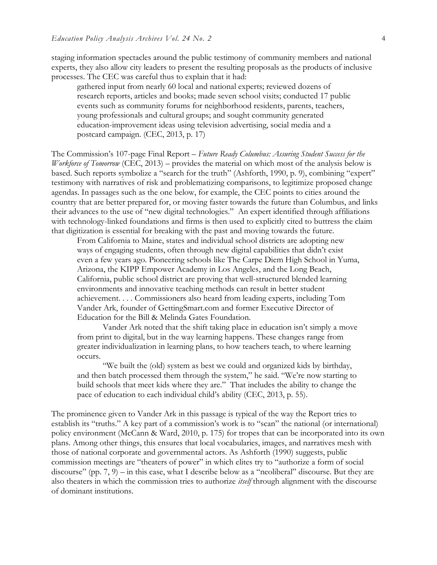staging information spectacles around the public testimony of community members and national experts, they also allow city leaders to present the resulting proposals as the products of inclusive processes. The CEC was careful thus to explain that it had:

gathered input from nearly 60 local and national experts; reviewed dozens of research reports, articles and books; made seven school visits; conducted 17 public events such as community forums for neighborhood residents, parents, teachers, young professionals and cultural groups; and sought community generated education-improvement ideas using television advertising, social media and a postcard campaign. (CEC, 2013, p. 17)

The Commission's 107-page Final Report – *Future Ready Columbus: Assuring Student Success for the Workforce of Tomorrow* (CEC, 2013) – provides the material on which most of the analysis below is based. Such reports symbolize a "search for the truth" (Ashforth, 1990, p. 9), combining "expert" testimony with narratives of risk and problematizing comparisons, to legitimize proposed change agendas. In passages such as the one below, for example, the CEC points to cities around the country that are better prepared for, or moving faster towards the future than Columbus, and links their advances to the use of "new digital technologies." An expert identified through affiliations with technology-linked foundations and firms is then used to explicitly cited to buttress the claim that digitization is essential for breaking with the past and moving towards the future.

From California to Maine, states and individual school districts are adopting new ways of engaging students, often through new digital capabilities that didn't exist even a few years ago. Pioneering schools like The Carpe Diem High School in Yuma, Arizona, the KIPP Empower Academy in Los Angeles, and the Long Beach, California, public school district are proving that well-structured blended learning environments and innovative teaching methods can result in better student achievement. . . . Commissioners also heard from leading experts, including Tom Vander Ark, founder of GettingSmart.com and former Executive Director of Education for the Bill & Melinda Gates Foundation.

Vander Ark noted that the shift taking place in education isn't simply a move from print to digital, but in the way learning happens. These changes range from greater individualization in learning plans, to how teachers teach, to where learning occurs.

"We built the (old) system as best we could and organized kids by birthday, and then batch processed them through the system," he said. "We're now starting to build schools that meet kids where they are." That includes the ability to change the pace of education to each individual child's ability (CEC, 2013, p. 55).

The prominence given to Vander Ark in this passage is typical of the way the Report tries to establish its "truths." A key part of a commission's work is to "scan" the national (or international) policy environment (McCann & Ward, 2010, p. 175) for tropes that can be incorporated into its own plans. Among other things, this ensures that local vocabularies, images, and narratives mesh with those of national corporate and governmental actors. As Ashforth (1990) suggests, public commission meetings are "theaters of power" in which elites try to "authorize a form of social discourse" (pp. 7, 9) – in this case, what I describe below as a "neoliberal" discourse. But they are also theaters in which the commission tries to authorize *itself* through alignment with the discourse of dominant institutions.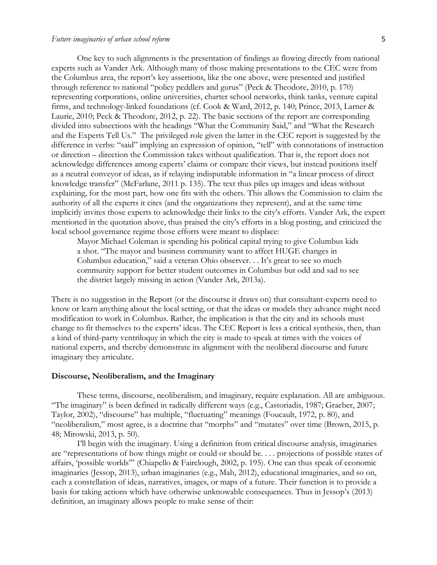#### *Future imaginaries of urban school reform* 5

One key to such alignments is the presentation of findings as flowing directly from national experts such as Vander Ark. Although many of those making presentations to the CEC were from the Columbus area, the report's key assertions, like the one above, were presented and justified through reference to national "policy peddlers and gurus" (Peck & Theodore, 2010, p. 170) representing corporations, online universities, charter school networks, think tanks, venture capital firms, and technology-linked foundations (cf. Cook & Ward, 2012, p. 140; Prince, 2013, Larner & Laurie, 2010; Peck & Theodore, 2012, p. 22). The basic sections of the report are corresponding divided into subsections with the headings "What the Community Said," and "What the Research and the Experts Tell Us." The privileged role given the latter in the CEC report is suggested by the difference in verbs: "said" implying an expression of opinion, "tell" with connotations of instruction or direction – direction the Commission takes without qualification. That is, the report does not acknowledge differences among experts' claims or compare their views, but instead positions itself as a neutral conveyor of ideas, as if relaying indisputable information in "a linear process of direct knowledge transfer" (McFarlane, 2011 p. 135). The text thus piles up images and ideas without explaining, for the most part, how one fits with the others. This allows the Commission to claim the authority of all the experts it cites (and the organizations they represent), and at the same time implicitly invites those experts to acknowledge their links to the city's efforts. Vander Ark, the expert mentioned in the quotation above, thus praised the city's efforts in a blog posting, and criticized the local school governance regime those efforts were meant to displace:

[Mayor Michael Coleman](http://mayor.columbus.gov/) is spending his political capital trying to give Columbus kids a shot. "The mayor and business community want to affect HUGE changes in Columbus education," said a veteran Ohio observer. . . It's great to see so much community support for better student outcomes in Columbus but odd and sad to see the district largely missing in action (Vander Ark, 2013a).

There is no suggestion in the Report (or the discourse it draws on) that consultant-experts need to know or learn anything about the local setting, or that the ideas or models they advance might need modification to work in Columbus. Rather, the implication is that the city and its schools must change to fit themselves to the experts' ideas. The CEC Report is less a critical synthesis, then, than a kind of third-party ventriloquy in which the city is made to speak at times with the voices of national experts, and thereby demonstrate its alignment with the neoliberal discourse and future imaginary they articulate.

#### **Discourse, Neoliberalism, and the Imaginary**

These terms, discourse, neoliberalism, and imaginary, require explanation. All are ambiguous. "The imaginary" is been defined in radically different ways (e.g., Castoriadis, 1987; Graeber, 2007; Taylor, 2002), "discourse" has multiple, "fluctuating" meanings (Foucault, 1972, p. 80), and "neoliberalism," most agree, is a doctrine that "morphs" and "mutates" over time (Brown, 2015, p. 48; Mirowski, 2013, p. 50).

I'll begin with the imaginary. Using a definition from critical discourse analysis, imaginaries are "representations of how things might or could or should be. . . . projections of possible states of affairs, 'possible worlds'" (Chiapello & Fairclough, 2002, p. 195). One can thus speak of economic imaginaries (Jessop, 2013), urban imaginaries (e.g., Mah, 2012), educational imaginaries, and so on, each a constellation of ideas, narratives, images, or maps of a future. Their function is to provide a basis for taking actions which have otherwise unknowable consequences. Thus in Jessop's (2013) definition, an imaginary allows people to make sense of their: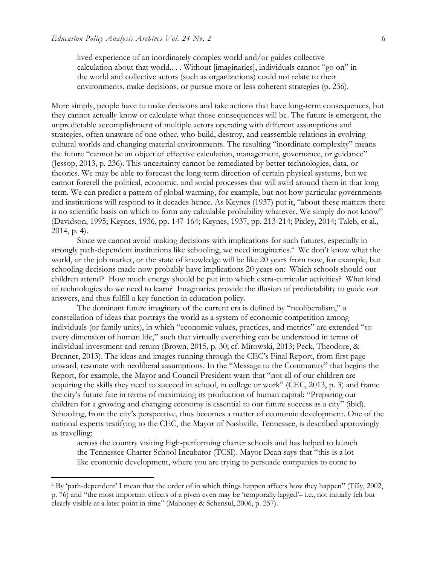$\overline{\phantom{a}}$ 

lived experience of an inordinately complex world and/or guides collective calculation about that world.. . . Without [imaginaries], individuals cannot "go on" in the world and collective actors (such as organizations) could not relate to their environments, make decisions, or pursue more or less coherent strategies (p. 236).

More simply, people have to make decisions and take actions that have long-term consequences, but they cannot actually know or calculate what those consequences will be. The future is emergent, the unpredictable accomplishment of multiple actors operating with different assumptions and strategies, often unaware of one other, who build, destroy, and reassemble relations in evolving cultural worlds and changing material environments. The resulting "inordinate complexity" means the future "cannot be an object of effective calculation, management, governance, or guidance" (Jessop, 2013, p. 236). This uncertainty cannot be remediated by better technologies, data, or theories. We may be able to forecast the long-term direction of certain physical systems, but we cannot foretell the political, economic, and social processes that will swirl around them in that long term. We can predict a pattern of global warming, for example, but not how particular governments and institutions will respond to it decades hence. As Keynes (1937) put it, "about these matters there is no scientific basis on which to form any calculable probability whatever. We simply do not know" (Davidson, 1995; Keynes, 1936, pp. 147-164; Keynes, 1937, pp. 213-214; Pixley, 2014; Taleb, et al., 2014, p. 4).

Since we cannot avoid making decisions with implications for such futures, especially in strongly path-dependent institutions like schooling, we need imaginaries.<sup>4</sup> We don't know what the world, or the job market, or the state of knowledge will be like 20 years from now, for example, but schooling decisions made now probably have implications 20 years on: Which schools should our children attend? How much energy should be put into which extra-curricular activities? What kind of technologies do we need to learn? Imaginaries provide the illusion of predictability to guide our answers, and thus fulfill a key function in education policy.

The dominant future imaginary of the current era is defined by "neoliberalism," a constellation of ideas that portrays the world as a system of economic competition among individuals (or family units), in which "economic values, practices, and metrics" are extended "to every dimension of human life," such that virtually everything can be understood in terms of individual investment and return (Brown, 2015, p. 30; cf. Mirowski, 2013; Peck, Theodore, & Brenner, 2013). The ideas and images running through the CEC's Final Report, from first page onward, resonate with neoliberal assumptions. In the "Message to the Community" that begins the Report, for example, the Mayor and Council President warn that "not all of our children are acquiring the skills they need to succeed in school, in college or work" (CEC, 2013, p. 3) and frame the city's future fate in terms of maximizing its production of human capital: "Preparing our children for a growing and changing economy is essential to our future success as a city" (ibid). Schooling, from the city's perspective, thus becomes a matter of economic development. One of the national experts testifying to the CEC, the Mayor of Nashville, Tennessee, is described approvingly as travelling:

across the country visiting high-performing charter schools and has helped to launch the Tennessee Charter School Incubator (TCSI). Mayor Dean says that "this is a lot like economic development, where you are trying to persuade companies to come to

<sup>4</sup> By 'path-dependent' I mean that the order of in which things happen affects how they happen" (Tilly, 2002, p. 76) and "the most important effects of a given even may be 'temporally lagged'– i.e., not initially felt but clearly visible at a later point in time" (Mahoney & Schensul, 2006, p. 257).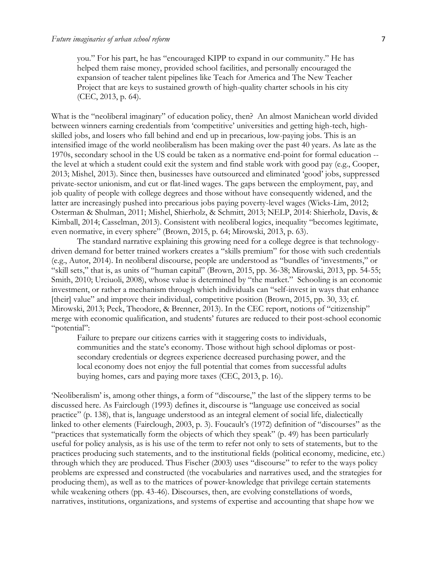you." For his part, he has "encouraged KIPP to expand in our community." He has helped them raise money, provided school facilities, and personally encouraged the expansion of teacher talent pipelines like Teach for America and The New Teacher Project that are keys to sustained growth of high-quality charter schools in his city (CEC, 2013, p. 64).

What is the "neoliberal imaginary" of education policy, then? An almost Manichean world divided between winners earning credentials from 'competitive' universities and getting high-tech, highskilled jobs, and losers who fall behind and end up in precarious, low-paying jobs. This is an intensified image of the world neoliberalism has been making over the past 40 years. As late as the 1970s, secondary school in the US could be taken as a normative end-point for formal education - the level at which a student could exit the system and find stable work with good pay (e.g., Cooper, 2013; Mishel, 2013). Since then, businesses have outsourced and eliminated 'good' jobs, suppressed private-sector unionism, and cut or flat-lined wages. The gaps between the employment, pay, and job quality of people with college degrees and those without have consequently widened, and the latter are increasingly pushed into precarious jobs paying poverty-level wages (Wicks-Lim, 2012; Osterman & Shulman, 2011; Mishel, Shierholz, & Schmitt, 2013; NELP, 2014: Shierholz, Davis, & Kimball, 2014; Casselman, 2013). Consistent with neoliberal logics, inequality "becomes legitimate, even normative, in every sphere" (Brown, 2015, p. 64; Mirowski, 2013, p. 63).

The standard narrative explaining this growing need for a college degree is that technologydriven demand for better trained workers creates a "skills premium" for those with such credentials (e.g., Autor, 2014). In neoliberal discourse, people are understood as "bundles of 'investments," or "skill sets," that is, as units of "human capital" (Brown, 2015, pp. 36-38; Mirowski, 2013, pp. 54-55; Smith, 2010; Urciuoli, 2008), whose value is determined by "the market." Schooling is an economic investment, or rather a mechanism through which individuals can "self-invest in ways that enhance [their] value" and improve their individual, competitive position (Brown, 2015, pp. 30, 33; cf. Mirowski, 2013; Peck, Theodore, & Brenner, 2013). In the CEC report, notions of "citizenship" merge with economic qualification, and students' futures are reduced to their post-school economic "potential":

Failure to prepare our citizens carries with it staggering costs to individuals, communities and the state's economy. Those without high school diplomas or postsecondary credentials or degrees experience decreased purchasing power, and the local economy does not enjoy the full potential that comes from successful adults buying homes, cars and paying more taxes (CEC, 2013, p. 16).

'Neoliberalism' is, among other things, a form of "discourse," the last of the slippery terms to be discussed here. As Fairclough (1993) defines it, discourse is "language use conceived as social practice" (p. 138), that is, language understood as an integral element of social life, dialectically linked to other elements (Fairclough, 2003, p. 3). Foucault's (1972) definition of "discourses" as the "practices that systematically form the objects of which they speak" (p. 49) has been particularly useful for policy analysis, as is his use of the term to refer not only to sets of statements, but to the practices producing such statements, and to the institutional fields (political economy, medicine, etc.) through which they are produced. Thus Fischer (2003) uses "discourse" to refer to the ways policy problems are expressed and constructed (the vocabularies and narratives used, and the strategies for producing them), as well as to the matrices of power-knowledge that privilege certain statements while weakening others (pp. 43-46). Discourses, then, are evolving constellations of words, narratives, institutions, organizations, and systems of expertise and accounting that shape how we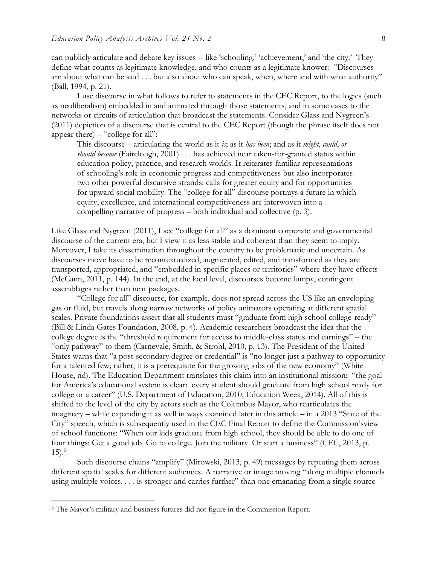can publicly articulate and debate key issues -- like 'schooling,' 'achievement,' and 'the city.' They define what counts as legitimate knowledge, and who counts as a legitimate knower: "Discourses are about what can be said . . . but also about who can speak, when, where and with what authority" (Ball, 1994, p. 21).

I use discourse in what follows to refer to statements in the CEC Report, to the logics (such as neoliberalism) embedded in and animated through those statements, and in some cases to the networks or circuits of articulation that broadcast the statements. Consider Glass and Nygreen's (2011) depiction of a discourse that is central to the CEC Report (though the phrase itself does not appear there) – "college for all":

This discourse – articulating the world as it *is*; as it *has been*; and as it *might*, *could*, *or should become* (Fairclough, 2001) . . . has achieved near taken-for-granted status within education policy, practice, and research worlds. It reiterates familiar representations of schooling's role in economic progress and competitiveness but also incorporates two other powerful discursive strands: calls for greater equity and for opportunities for upward social mobility. The "college for all" discourse portrays a future in which equity, excellence, and international competitiveness are interwoven into a compelling narrative of progress – both individual and collective (p. 3).

Like Glass and Nygreen (2011), I see "college for all" as a dominant corporate and governmental discourse of the current era, but I view it as less stable and coherent than they seem to imply. Moreover, I take its dissemination throughout the country to be problematic and uncertain. As discourses move have to be recontextualized, augmented, edited, and transformed as they are transported, appropriated, and "embedded in specific places or territories" where they have effects (McCann, 2011, p. 144). In the end, at the local level, discourses become lumpy, contingent assemblages rather than neat packages.

"College for all" discourse, for example, does not spread across the US like an enveloping gas or fluid, but travels along narrow networks of policy animators operating at different spatial scales. Private foundations assert that all students must "graduate from high school college-ready" (Bill & Linda Gates Foundation, 2008, p. 4). Academic researchers broadcast the idea that the college degree is the "threshold requirement for access to middle-class status and earnings" – the "only pathway" to them (Carnevale, Smith, & Strohl, 2010, p. 13). The President of the United States warns that "a post-secondary degree or credential" is "no longer just a pathway to opportunity for a talented few; rather, it is a prerequisite for the growing jobs of the new economy" (White House, nd). The Education Department translates this claim into an institutional mission: "the goal for America's educational system is clear: every student should graduate from high school ready for college or a career" (U.S. Department of Education, 2010; Education Week, 2014). All of this is shifted to the level of the city by actors such as the Columbus Mayor, who rearticulates the imaginary – while expanding it as well in ways examined later in this article – in a 2013 "State of the City" speech, which is subsequently used in the CEC Final Report to define the Commission'sview of school functions: "When our kids graduate from high school, they should be able to do one of four things: Get a good job. Go to college. Join the military. Or start a business" (CEC, 2013, p.  $(15).$ <sup>5</sup>

Such discourse chains "amplify" (Mirowski, 2013, p. 49) messages by repeating them across different spatial scales for different audiences. A narrative or image moving "along multiple channels using multiple voices. . . . is stronger and carries further" than one emanating from a single source

l

<sup>5</sup> The Mayor's military and business futures did not figure in the Commission Report.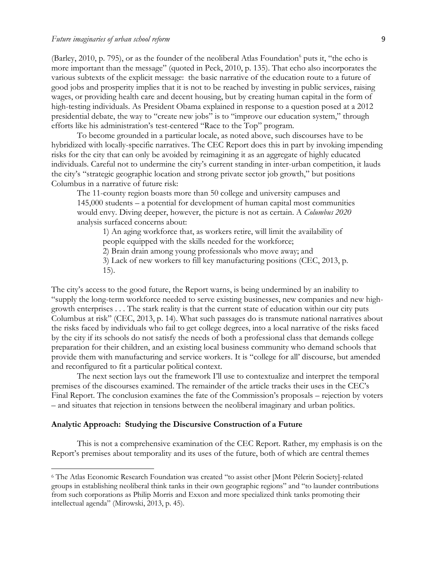(Barley, 2010, p. 795), or as the founder of the neoliberal Atlas Foundation<sup>6</sup> puts it, "the echo is more important than the message" (quoted in Peck, 2010, p. 135). That echo also incorporates the various subtexts of the explicit message: the basic narrative of the education route to a future of good jobs and prosperity implies that it is not to be reached by investing in public services, raising wages, or providing health care and decent housing, but by creating human capital in the form of high-testing individuals. As President Obama explained in response to a question posed at a 2012 presidential debate, the way to "create new jobs" is to "improve our education system," through efforts like his administration's test-centered "Race to the Top" program.

To become grounded in a particular locale, as noted above, such discourses have to be hybridized with locally-specific narratives. The CEC Report does this in part by invoking impending risks for the city that can only be avoided by reimagining it as an aggregate of highly educated individuals. Careful not to undermine the city's current standing in inter-urban competition, it lauds the city's "strategic geographic location and strong private sector job growth," but positions Columbus in a narrative of future risk:

The 11-county region boasts more than 50 college and university campuses and 145,000 students – a potential for development of human capital most communities would envy. Diving deeper, however, the picture is not as certain. A *Columbus 2020* analysis surfaced concerns about:

1) An aging workforce that, as workers retire, will limit the availability of people equipped with the skills needed for the workforce;

2) Brain drain among young professionals who move away; and

3) Lack of new workers to fill key manufacturing positions (CEC, 2013, p. 15).

The city's access to the good future, the Report warns, is being undermined by an inability to "supply the long-term workforce needed to serve existing businesses, new companies and new highgrowth enterprises . . . The stark reality is that the current state of education within our city puts Columbus at risk" (CEC, 2013, p. 14). What such passages do is transmute national narratives about the risks faced by individuals who fail to get college degrees, into a local narrative of the risks faced by the city if its schools do not satisfy the needs of both a professional class that demands college preparation for their children, and an existing local business community who demand schools that provide them with manufacturing and service workers. It is "college for all' discourse, but amended and reconfigured to fit a particular political context.

The next section lays out the framework I'll use to contextualize and interpret the temporal premises of the discourses examined. The remainder of the article tracks their uses in the CEC's Final Report. The conclusion examines the fate of the Commission's proposals – rejection by voters – and situates that rejection in tensions between the neoliberal imaginary and urban politics.

#### **Analytic Approach: Studying the Discursive Construction of a Future**

 $\overline{a}$ 

This is not a comprehensive examination of the CEC Report. Rather, my emphasis is on the Report's premises about temporality and its uses of the future, both of which are central themes

<sup>6</sup> The Atlas Economic Research Foundation was created "to assist other [Mont Pèlerin Society]-related groups in establishing neoliberal think tanks in their own geographic regions" and "to launder contributions from such corporations as Philip Morris and Exxon and more specialized think tanks promoting their intellectual agenda" (Mirowski, 2013, p. 45).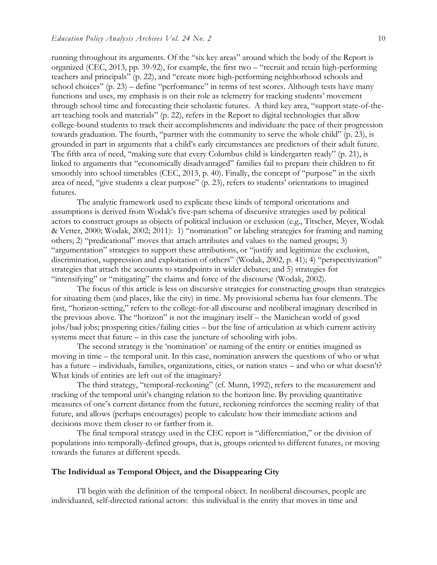running throughout its arguments. Of the "six key areas" around which the body of the Report is organized (CEC, 2013, pp. 39-92), for example, the first two – "recruit and retain high-performing teachers and principals" (p. 22), and "create more high-performing neighborhood schools and school choices" (p. 23) – define "performance" in terms of test scores. Although tests have many functions and uses, my emphasis is on their role as telemetry for tracking students' movement through school time and forecasting their scholastic futures. A third key area, "support state-of-theart teaching tools and materials" (p. 22), refers in the Report to digital technologies that allow college-bound students to track their accomplishments and individuate the pace of their progression towards graduation. The fourth, "partner with the community to serve the whole child" (p. 23), is grounded in part in arguments that a child's early circumstances are predictors of their adult future. The fifth area of need, "making sure that every Columbus child is kindergarten ready" (p. 21), is linked to arguments that "economically disadvantaged" families fail to prepare their children to fit smoothly into school timetables (CEC, 2013, p. 40). Finally, the concept of "purpose" in the sixth area of need, "give students a clear purpose" (p. 23), refers to students' orientations to imagined futures.

The analytic framework used to explicate these kinds of temporal orientations and assumptions is derived from Wodak's five-part schema of discursive strategies used by political actors to construct groups as objects of political inclusion or exclusion (e.g., Titscher, Meyer, Wodak & Vetter, 2000; Wodak, 2002; 2011): 1) "nomination" or labeling strategies for framing and naming others; 2) "predicational" moves that attach attributes and values to the named groups; 3) "argumentation" strategies to support these attributions, or "justify and legitimize the exclusion, discrimination, suppression and exploitation of others" (Wodak, 2002, p. 41); 4) "perspectivization" strategies that attach the accounts to standpoints in wider debates; and 5) strategies for "intensifying" or "mitigating" the claims and force of the discourse (Wodak, 2002).

The focus of this article is less on discursive strategies for constructing groups than strategies for situating them (and places, like the city) in time. My provisional schema has four elements. The first, "horizon-setting," refers to the college-for-all discourse and neoliberal imaginary described in the previous above. The "horizon" is not the imaginary itself – the Manichean world of good jobs/bad jobs; prospering cities/failing cities – but the line of articulation at which current activity systems meet that future – in this case the juncture of schooling with jobs.

The second strategy is the 'nomination' or naming of the entity or entities imagined as moving in time – the temporal unit. In this case, nomination answers the questions of who or what has a future – individuals, families, organizations, cities, or nation states – and who or what doesn't? What kinds of entities are left out of the imaginary?

The third strategy, "temporal-reckoning" (cf. Munn, 1992), refers to the measurement and tracking of the temporal unit's changing relation to the horizon line. By providing quantitative measures of one's current distance from the future, reckoning reinforces the seeming reality of that future, and allows (perhaps encourages) people to calculate how their immediate actions and decisions move them closer to or farther from it.

The final temporal strategy used in the CEC report is "differentiation," or the division of populations into temporally-defined groups, that is, groups oriented to different futures, or moving towards the futures at different speeds.

#### **The Individual as Temporal Object, and the Disappearing City**

I'll begin with the definition of the temporal object. In neoliberal discourses, people are individuated, self-directed rational actors: this individual is the entity that moves in time and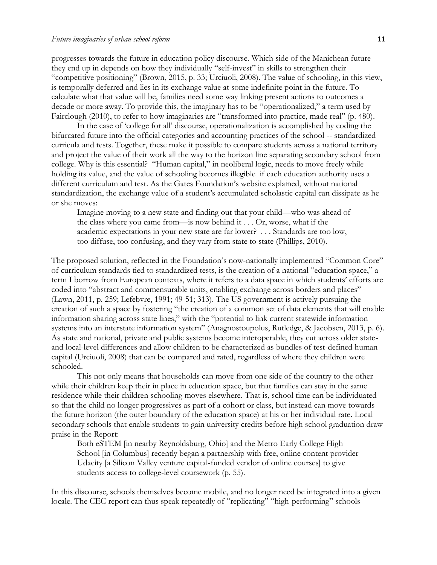progresses towards the future in education policy discourse. Which side of the Manichean future they end up in depends on how they individually "self-invest" in skills to strengthen their "competitive positioning" (Brown, 2015, p. 33; Urciuoli, 2008). The value of schooling, in this view, is temporally deferred and lies in its exchange value at some indefinite point in the future. To calculate what that value will be, families need some way linking present actions to outcomes a decade or more away. To provide this, the imaginary has to be "operationalized," a term used by Fairclough (2010), to refer to how imaginaries are "transformed into practice, made real" (p. 480).

In the case of 'college for all' discourse, operationalization is accomplished by coding the bifurcated future into the official categories and accounting practices of the school -- standardized curricula and tests. Together, these make it possible to compare students across a national territory and project the value of their work all the way to the horizon line separating secondary school from college. Why is this essential? "Human capital," in neoliberal logic, needs to move freely while holding its value, and the value of schooling becomes illegible if each education authority uses a different curriculum and test. As the Gates Foundation's website explained, without national standardization, the exchange value of a student's accumulated scholastic capital can dissipate as he or she moves:

Imagine moving to a new state and finding out that your child—who was ahead of the class where you came from—is now behind it . . . Or, worse, what if the academic expectations in your new state are far lower? . . . Standards are too low, too diffuse, too confusing, and they vary from state to state (Phillips, 2010).

The proposed solution, reflected in the Foundation's now-nationally implemented "Common Core" of curriculum standards tied to standardized tests, is the creation of a national "education space," a term I borrow from European contexts, where it refers to a data space in which students' efforts are coded into "abstract and commensurable units, enabling exchange across borders and places" (Lawn, 2011, p. 259; Lefebvre, 1991; 49-51; 313). The US government is actively pursuing the creation of such a space by fostering "the creation of a common set of data elements that will enable information sharing across state lines," with the "potential to link current statewide information systems into an interstate information system" (Anagnostoupolus, Rutledge, & Jacobsen, 2013, p. 6). As state and national, private and public systems become interoperable, they cut across older stateand local-level differences and allow children to be characterized as bundles of test-defined human capital (Urciuoli, 2008) that can be compared and rated, regardless of where they children were schooled.

This not only means that households can move from one side of the country to the other while their children keep their in place in education space, but that families can stay in the same residence while their children schooling moves elsewhere. That is, school time can be individuated so that the child no longer progressives as part of a cohort or class, but instead can move towards the future horizon (the outer boundary of the education space) at his or her individual rate. Local secondary schools that enable students to gain university credits before high school graduation draw praise in the Report:

Both eSTEM [in nearby Reynoldsburg, Ohio] and the Metro Early College High School [in Columbus] recently began a partnership with free, online content provider Udacity [a Silicon Valley venture capital-funded vendor of online courses] to give students access to college-level coursework (p. 55).

In this discourse, schools themselves become mobile, and no longer need be integrated into a given locale. The CEC report can thus speak repeatedly of "replicating" "high-performing" schools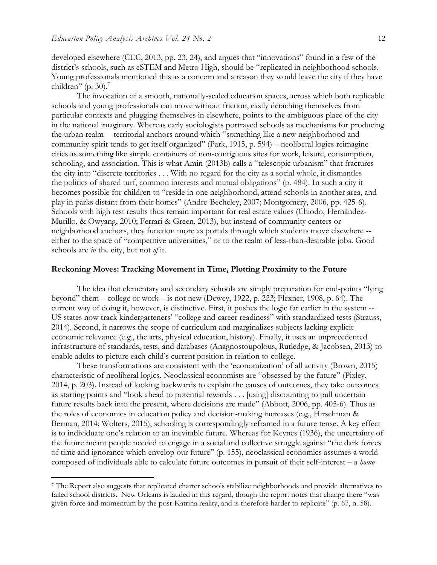$\overline{\phantom{a}}$ 

developed elsewhere (CEC, 2013, pp. 23, 24), and argues that "innovations" found in a few of the district's schools, such as eSTEM and Metro High, should be "replicated in neighborhood schools. Young professionals mentioned this as a concern and a reason they would leave the city if they have children" (p. 30). $<sup>7</sup>$ </sup>

The invocation of a smooth, nationally-scaled education spaces, across which both replicable schools and young professionals can move without friction, easily detaching themselves from particular contexts and plugging themselves in elsewhere, points to the ambiguous place of the city in the national imaginary. Whereas early sociologists portrayed schools as mechanisms for producing the urban realm -- territorial anchors around which "something like a new neighborhood and community spirit tends to get itself organized" (Park, 1915, p. 594) – neoliberal logics reimagine cities as something like simple containers of non-contiguous sites for work, leisure, consumption, schooling, and association. This is what Amin (2013b) calls a "telescopic urbanism" that fractures the city into "discrete territories . . . With no regard for the city as a social whole, it dismantles the politics of shared turf, common interests and mutual obligations" (p. 484). In such a city it becomes possible for children to "reside in one neighborhood, attend schools in another area, and play in parks distant from their homes" (Andre-Becheley, 2007; Montgomery, 2006, pp. 425-6). Schools with high test results thus remain important for real estate values (Chiodo, Hernández-Murillo, & Owyang, 2010; Ferrari & Green, 2013), but instead of community centers or neighborhood anchors, they function more as portals through which students move elsewhere - either to the space of "competitive universities," or to the realm of less-than-desirable jobs. Good schools are *in* the city, but not *of* it.

#### **Reckoning Moves: Tracking Movement in Time, Plotting Proximity to the Future**

The idea that elementary and secondary schools are simply preparation for end-points "lying beyond" them – college or work – is not new (Dewey, 1922, p. 223; Flexner, 1908, p. 64). The current way of doing it, however, is distinctive. First, it pushes the logic far earlier in the system -- US states now track kindergarteners' "college and career readiness" with standardized tests (Strauss, 2014). Second, it narrows the scope of curriculum and marginalizes subjects lacking explicit economic relevance (e.g., the arts, physical education, history). Finally, it uses an unprecedented infrastructure of standards, tests, and databases (Anagnostoupolous, Rutledge, & Jacobsen, 2013) to enable adults to picture each child's current position in relation to college.

These transformations are consistent with the 'economization' of all activity (Brown, 2015) characteristic of neoliberal logics. Neoclassical economists are "obsessed by the future" (Pixley, 2014, p. 203). Instead of looking backwards to explain the causes of outcomes, they take outcomes as starting points and "look ahead to potential rewards . . . [using] discounting to pull uncertain future results back into the present, where decisions are made" (Abbott, 2006, pp. 405-6). Thus as the roles of economics in education policy and decision-making increases (e.g., Hirschman & Berman, 2014; Wolters, 2015), schooling is correspondingly reframed in a future tense. A key effect is to individuate one's relation to an inevitable future. Whereas for Keynes (1936), the uncertainty of the future meant people needed to engage in a social and collective struggle against "the dark forces of time and ignorance which envelop our future" (p. 155), neoclassical economics assumes a world composed of individuals able to calculate future outcomes in pursuit of their self-interest – a *homo* 

<sup>7</sup> The Report also suggests that replicated charter schools stabilize neighborhoods and provide alternatives to failed school districts. New Orleans is lauded in this regard, though the report notes that change there "was given force and momentum by the post-Katrina reality, and is therefore harder to replicate" (p. 67, n. 58).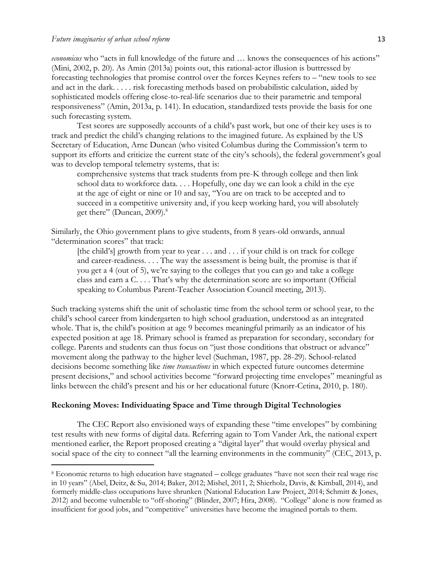l

*economicus* who "acts in full knowledge of the future and … knows the consequences of his actions" (Mini, 2002, p. 20). As Amin (2013a) points out, this rational-actor illusion is buttressed by forecasting technologies that promise control over the forces Keynes refers to – "new tools to see and act in the dark. . . . . risk forecasting methods based on probabilistic calculation, aided by sophisticated models offering close-to-real-life scenarios due to their parametric and temporal responsiveness" (Amin, 2013a, p. 141). In education, standardized tests provide the basis for one such forecasting system.

Test scores are supposedly accounts of a child's past work, but one of their key uses is to track and predict the child's changing relations to the imagined future. As explained by the US Secretary of Education, Arne Duncan (who visited Columbus during the Commission's term to support its efforts and criticize the current state of the city's schools), the federal government's goal was to develop temporal telemetry systems, that is:

comprehensive systems that track students from pre-K through college and then link school data to workforce data. . . . Hopefully, one day we can look a child in the eye at the age of eight or nine or 10 and say, "You are on track to be accepted and to succeed in a competitive university and, if you keep working hard, you will absolutely get there" (Duncan, 2009). 8

Similarly, the Ohio government plans to give students, from 8 years-old onwards, annual "determination scores" that track:

[the child's] growth from year to year  $\dots$  and  $\dots$  if your child is on track for college and career-readiness. . . . The way the assessment is being built, the promise is that if you get a 4 (out of 5), we're saying to the colleges that you can go and take a college class and earn a C. . . . That's why the determination score are so important (Official speaking to Columbus Parent-Teacher Association Council meeting, 2013).

Such tracking systems shift the unit of scholastic time from the school term or school year, to the child's school career from kindergarten to high school graduation, understood as an integrated whole. That is, the child's position at age 9 becomes meaningful primarily as an indicator of his expected position at age 18. Primary school is framed as preparation for secondary, secondary for college. Parents and students can thus focus on "just those conditions that obstruct or advance" movement along the pathway to the higher level (Suchman, 1987, pp. 28-29). School-related decisions become something like *time transactions* in which expected future outcomes determine present decisions," and school activities become "forward projecting time envelopes" meaningful as links between the child's present and his or her educational future (Knorr-Cetina, 2010, p. 180).

#### **Reckoning Moves: Individuating Space and Time through Digital Technologies**

The CEC Report also envisioned ways of expanding these "time envelopes" by combining test results with new forms of digital data. Referring again to Tom Vander Ark, the national expert mentioned earlier, the Report proposed creating a "digital layer" that would overlay physical and social space of the city to connect "all the learning environments in the community" (CEC, 2013, p.

<sup>8</sup> Economic returns to high education have stagnated – college graduates "have not seen their real wage rise in 10 years" (Abel, Deitz, & Su, 2014; Baker, 2012; Mishel, 2011, 2; Shierholz, Davis, & Kimball, 2014), and formerly middle-class occupations have shrunken (National Education Law Project, 2014; Schmitt & Jones, 2012) and become vulnerable to "off-shoring" (Blinder, 2007; Hira, 2008). "College" alone is now framed as insufficient for good jobs, and "competitive" universities have become the imagined portals to them.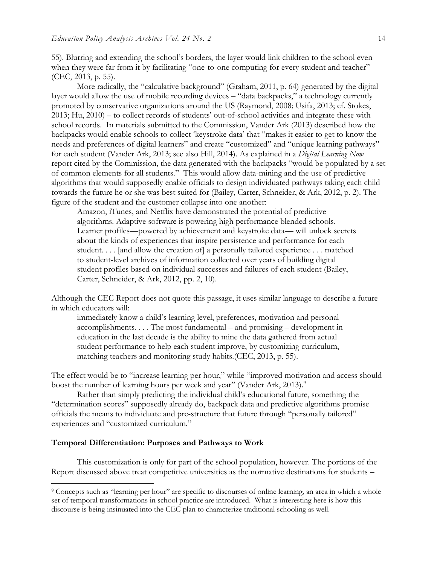55). Blurring and extending the school's borders, the layer would link children to the school even when they were far from it by facilitating "one-to-one computing for every student and teacher" (CEC, 2013, p. 55).

More radically, the "calculative background" (Graham, 2011, p. 64) generated by the digital layer would allow the use of mobile recording devices – "data backpacks," a technology currently promoted by conservative organizations around the US (Raymond, 2008; Usifa, 2013; cf. Stokes, 2013; Hu, 2010) – to collect records of students' out-of-school activities and integrate these with school records. In materials submitted to the Commission, Vander Ark (2013) described how the backpacks would enable schools to collect 'keystroke data' that "makes it easier to get to know the needs and preferences of digital learners" and create "customized" and "unique learning pathways" for each student (Vander Ark, 2013; see also Hill, 2014). As explained in a *Digital Learning Now* report cited by the Commission, the data generated with the backpacks "would be populated by a set of common elements for all students." This would allow data-mining and the use of predictive algorithms that would supposedly enable officials to design individuated pathways taking each child towards the future he or she was best suited for (Bailey, Carter, Schneider, & Ark, 2012, p. 2). The figure of the student and the customer collapse into one another:

Amazon, iTunes, and Netflix have demonstrated the potential of predictive algorithms. Adaptive software is powering high performance blended schools. Learner profiles—powered by achievement and keystroke data— will unlock secrets about the kinds of experiences that inspire persistence and performance for each student. . . . [and allow the creation of] a personally tailored experience . . . matched to student-level archives of information collected over years of building digital student profiles based on individual successes and failures of each student (Bailey, Carter, Schneider, & Ark, 2012, pp. 2, 10).

Although the CEC Report does not quote this passage, it uses similar language to describe a future in which educators will:

immediately know a child's learning level, preferences, motivation and personal accomplishments. . . . The most fundamental – and promising – development in education in the last decade is the ability to mine the data gathered from actual student performance to help each student improve, by customizing curriculum, matching teachers and monitoring study habits.(CEC, 2013, p. 55).

The effect would be to "increase learning per hour," while "improved motivation and access should boost the number of learning hours per week and year" (Vander Ark, 2013).<sup>9</sup>

Rather than simply predicting the individual child's educational future, something the "determination scores" supposedly already do, backpack data and predictive algorithms promise officials the means to individuate and pre-structure that future through "personally tailored" experiences and "customized curriculum."

#### **Temporal Differentiation: Purposes and Pathways to Work**

l

This customization is only for part of the school population, however. The portions of the Report discussed above treat competitive universities as the normative destinations for students –

<sup>9</sup> Concepts such as "learning per hour" are specific to discourses of online learning, an area in which a whole set of temporal transformations in school practice are introduced. What is interesting here is how this discourse is being insinuated into the CEC plan to characterize traditional schooling as well.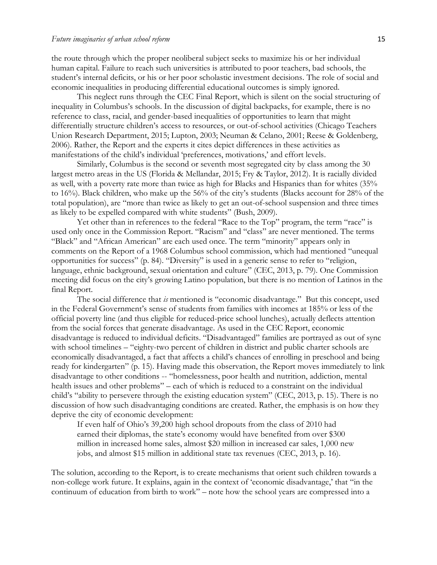the route through which the proper neoliberal subject seeks to maximize his or her individual human capital. Failure to reach such universities is attributed to poor teachers, bad schools, the student's internal deficits, or his or her poor scholastic investment decisions. The role of social and economic inequalities in producing differential educational outcomes is simply ignored.

This neglect runs through the CEC Final Report, which is silent on the social structuring of inequality in Columbus's schools. In the discussion of digital backpacks, for example, there is no reference to class, racial, and gender-based inequalities of opportunities to learn that might differentially structure children's access to resources, or out-of-school activities (Chicago Teachers Union Research Department, 2015; Lupton, 2003; Neuman & Celano, 2001; Reese & Goldenberg, 2006). Rather, the Report and the experts it cites depict differences in these activities as manifestations of the child's individual 'preferences, motivations,' and effort levels.

Similarly, Columbus is the second or seventh most segregated city by class among the 30 largest metro areas in the US (Florida & Mellandar, 2015; Fry & Taylor, 2012). It is racially divided as well, with a poverty rate more than twice as high for Blacks and Hispanics than for whites (35% to 16%). Black children, who make up the 56% of the city's students (Blacks account for 28% of the total population), are "more than twice as likely to get an out-of-school suspension and three times as likely to be expelled compared with white students" (Bush, 2009).

Yet other than in references to the federal "Race to the Top" program, the term "race" is used only once in the Commission Report. "Racism" and "class" are never mentioned. The terms "Black" and "African American" are each used once. The term "minority" appears only in comments on the Report of a 1968 Columbus school commission, which had mentioned "unequal opportunities for success" (p. 84). "Diversity" is used in a generic sense to refer to "religion, language, ethnic background, sexual orientation and culture" (CEC, 2013, p. 79). One Commission meeting did focus on the city's growing Latino population, but there is no mention of Latinos in the final Report.

The social difference that *is* mentioned is "economic disadvantage." But this concept, used in the Federal Government's sense of students from families with incomes at 185% or less of the official poverty line (and thus eligible for reduced-price school lunches), actually deflects attention from the social forces that generate disadvantage. As used in the CEC Report, economic disadvantage is reduced to individual deficits. "Disadvantaged" families are portrayed as out of sync with school timelines – "eighty-two percent of children in district and public charter schools are economically disadvantaged, a fact that affects a child's chances of enrolling in preschool and being ready for kindergarten" (p. 15). Having made this observation, the Report moves immediately to link disadvantage to other conditions -- "homelessness, poor health and nutrition, addiction, mental health issues and other problems" – each of which is reduced to a constraint on the individual child's "ability to persevere through the existing education system" (CEC, 2013, p. 15). There is no discussion of how such disadvantaging conditions are created. Rather, the emphasis is on how they deprive the city of economic development:

If even half of Ohio's 39,200 high school dropouts from the class of 2010 had earned their diplomas, the state's economy would have benefited from over \$300 million in increased home sales, almost \$20 million in increased car sales, 1,000 new jobs, and almost \$15 million in additional state tax revenues (CEC, 2013, p. 16).

The solution, according to the Report, is to create mechanisms that orient such children towards a non-college work future. It explains, again in the context of 'economic disadvantage,' that "in the continuum of education from birth to work" – note how the school years are compressed into a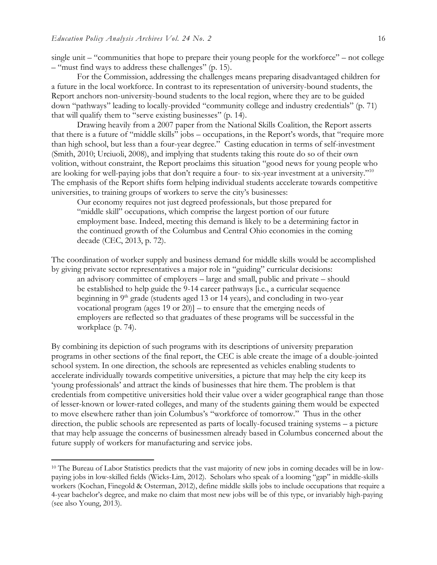$\overline{a}$ 

single unit – "communities that hope to prepare their young people for the workforce" – not college – "must find ways to address these challenges" (p. 15).

For the Commission, addressing the challenges means preparing disadvantaged children for a future in the local workforce. In contrast to its representation of university-bound students, the Report anchors non-university-bound students to the local region, where they are to be guided down "pathways" leading to locally-provided "community college and industry credentials" (p. 71) that will qualify them to "serve existing businesses" (p. 14).

Drawing heavily from a 2007 paper from the National Skills Coalition, the Report asserts that there is a future of "middle skills" jobs – occupations, in the Report's words, that "require more than high school, but less than a four-year degree." Casting education in terms of self-investment (Smith, 2010; Urciuoli, 2008), and implying that students taking this route do so of their own volition, without constraint, the Report proclaims this situation "good news for young people who are looking for well-paying jobs that don't require a four- to six-year investment at a university."<sup>10</sup> The emphasis of the Report shifts form helping individual students accelerate towards competitive universities, to training groups of workers to serve the city's businesses:

Our economy requires not just degreed professionals, but those prepared for "middle skill" occupations, which comprise the largest portion of our future employment base. Indeed, meeting this demand is likely to be a determining factor in the continued growth of the Columbus and Central Ohio economies in the coming decade (CEC, 2013, p. 72).

The coordination of worker supply and business demand for middle skills would be accomplished by giving private sector representatives a major role in "guiding" curricular decisions:

an advisory committee of employers – large and small, public and private – should be established to help guide the 9-14 career pathways [i.e., a curricular sequence beginning in  $9<sup>th</sup>$  grade (students aged 13 or 14 years), and concluding in two-year vocational program (ages 19 or 20)] – to ensure that the emerging needs of employers are reflected so that graduates of these programs will be successful in the workplace (p. 74).

By combining its depiction of such programs with its descriptions of university preparation programs in other sections of the final report, the CEC is able create the image of a double-jointed school system. In one direction, the schools are represented as vehicles enabling students to accelerate individually towards competitive universities, a picture that may help the city keep its 'young professionals' and attract the kinds of businesses that hire them. The problem is that credentials from competitive universities hold their value over a wider geographical range than those of lesser-known or lower-rated colleges, and many of the students gaining them would be expected to move elsewhere rather than join Columbus's "workforce of tomorrow." Thus in the other direction, the public schools are represented as parts of locally-focused training systems – a picture that may help assuage the concerns of businessmen already based in Columbus concerned about the future supply of workers for manufacturing and service jobs.

<sup>&</sup>lt;sup>10</sup> The Bureau of Labor Statistics predicts that the vast majority of new jobs in coming decades will be in lowpaying jobs in low-skilled fields (Wicks-Lim, 2012). Scholars who speak of a looming "gap" in middle-skills workers (Kochan, Finegold & Osterman, 2012), define middle skills jobs to include occupations that require a 4-year bachelor's degree, and make no claim that most new jobs will be of this type, or invariably high-paying (see also Young, 2013).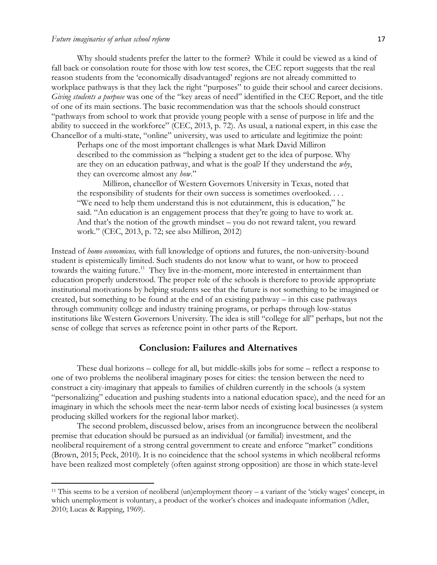l

Why should students prefer the latter to the former? While it could be viewed as a kind of fall back or consolation route for those with low test scores, the CEC report suggests that the real reason students from the 'economically disadvantaged' regions are not already committed to workplace pathways is that they lack the right "purposes" to guide their school and career decisions. *Giving students a purpose* was one of the "key areas of need" identified in the CEC Report, and the title of one of its main sections. The basic recommendation was that the schools should construct "pathways from school to work that provide young people with a sense of purpose in life and the ability to succeed in the workforce" (CEC, 2013, p. 72). As usual, a national expert, in this case the Chancellor of a multi-state, "online" university, was used to articulate and legitimize the point:

Perhaps one of the most important challenges is what Mark David Milliron described to the commission as "helping a student get to the idea of purpose. Why are they on an education pathway, and what is the goal? If they understand the *why*, they can overcome almost any *how*."

Milliron, chancellor of Western Governors University in Texas, noted that the responsibility of students for their own success is sometimes overlooked. . . . "We need to help them understand this is not edutainment, this is education," he said. "An education is an engagement process that they're going to have to work at. And that's the notion of the growth mindset – you do not reward talent, you reward work." (CEC, 2013, p. 72; see also Milliron, 2012)

Instead of *homo economicus,* with full knowledge of options and futures, the non-university-bound student is epistemically limited. Such students do not know what to want, or how to proceed towards the waiting future.<sup>11</sup> They live in-the-moment, more interested in entertainment than education properly understood. The proper role of the schools is therefore to provide appropriate institutional motivations by helping students see that the future is not something to be imagined or created, but something to be found at the end of an existing pathway – in this case pathways through community college and industry training programs, or perhaps through low-status institutions like Western Governors University. The idea is still "college for all" perhaps, but not the sense of college that serves as reference point in other parts of the Report.

#### **Conclusion: Failures and Alternatives**

These dual horizons – college for all, but middle-skills jobs for some – reflect a response to one of two problems the neoliberal imaginary poses for cities: the tension between the need to construct a city-imaginary that appeals to families of children currently in the schools (a system "personalizing" education and pushing students into a national education space), and the need for an imaginary in which the schools meet the near-term labor needs of existing local businesses (a system producing skilled workers for the regional labor market).

The second problem, discussed below, arises from an incongruence between the neoliberal premise that education should be pursued as an individual (or familial) investment, and the neoliberal requirement of a strong central government to create and enforce "market" conditions (Brown, 2015; Peck, 2010). It is no coincidence that the school systems in which neoliberal reforms have been realized most completely (often against strong opposition) are those in which state-level

<sup>11</sup> This seems to be a version of neoliberal (un)employment theory – a variant of the 'sticky wages' concept, in which unemployment is voluntary, a product of the worker's choices and inadequate information (Adler, 2010; Lucas & Rapping, 1969).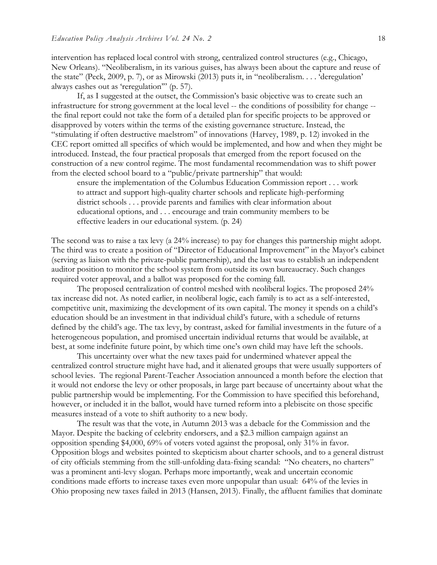intervention has replaced local control with strong, centralized control structures (e.g., Chicago, New Orleans). "Neoliberalism, in its various guises, has always been about the capture and reuse of the state" (Peck, 2009, p. 7), or as Mirowski (2013) puts it, in "neoliberalism. . . . 'deregulation' always cashes out as 'reregulation'" (p. 57).

If, as I suggested at the outset, the Commission's basic objective was to create such an infrastructure for strong government at the local level -- the conditions of possibility for change - the final report could not take the form of a detailed plan for specific projects to be approved or disapproved by voters within the terms of the existing governance structure. Instead, the "stimulating if often destructive maelstrom" of innovations (Harvey, 1989, p. 12) invoked in the CEC report omitted all specifics of which would be implemented, and how and when they might be introduced. Instead, the four practical proposals that emerged from the report focused on the construction of a new control regime. The most fundamental recommendation was to shift power from the elected school board to a "public/private partnership" that would:

ensure the implementation of the Columbus Education Commission report . . . work to attract and support high-quality charter schools and replicate high-performing district schools . . . provide parents and families with clear information about educational options, and . . . encourage and train community members to be effective leaders in our educational system. (p. 24)

The second was to raise a tax levy (a 24% increase) to pay for changes this partnership might adopt. The third was to create a position of "Director of Educational Improvement" in the Mayor's cabinet (serving as liaison with the private-public partnership), and the last was to establish an independent auditor position to monitor the school system from outside its own bureaucracy. Such changes required voter approval, and a ballot was proposed for the coming fall.

The proposed centralization of control meshed with neoliberal logics. The proposed 24% tax increase did not. As noted earlier, in neoliberal logic, each family is to act as a self-interested, competitive unit, maximizing the development of its own capital. The money it spends on a child's education should be an investment in that individual child's future, with a schedule of returns defined by the child's age. The tax levy, by contrast, asked for familial investments in the future of a heterogeneous population, and promised uncertain individual returns that would be available, at best, at some indefinite future point, by which time one's own child may have left the schools.

This uncertainty over what the new taxes paid for undermined whatever appeal the centralized control structure might have had, and it alienated groups that were usually supporters of school levies. The regional Parent-Teacher Association announced a month before the election that it would not endorse the levy or other proposals, in large part because of uncertainty about what the public partnership would be implementing. For the Commission to have specified this beforehand, however, or included it in the ballot, would have turned reform into a plebiscite on those specific measures instead of a vote to shift authority to a new body.

The result was that the vote, in Autumn 2013 was a debacle for the Commission and the Mayor. Despite the backing of celebrity endorsers, and a \$2.3 million campaign against an opposition spending \$4,000, 69% of voters voted against the proposal, only 31% in favor. Opposition blogs and websites pointed to skepticism about charter schools, and to a general distrust of city officials stemming from the still-unfolding data-fixing scandal: "No cheaters, no charters" was a prominent anti-levy slogan. Perhaps more importantly, weak and uncertain economic conditions made efforts to increase taxes even more unpopular than usual: 64% of the levies in Ohio proposing new taxes failed in 2013 (Hansen, 2013). Finally, the affluent families that dominate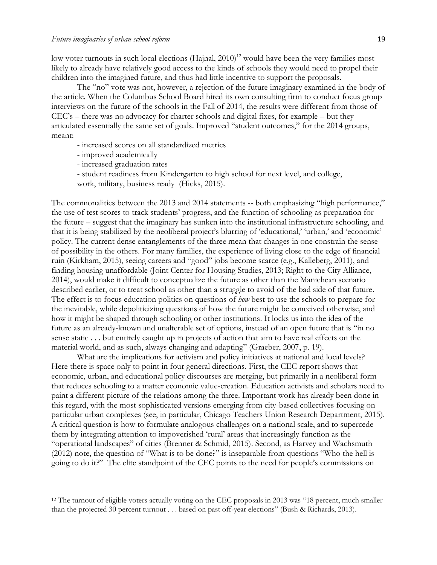low voter turnouts in such local elections (Hajnal,  $2010$ )<sup>12</sup> would have been the very families most likely to already have relatively good access to the kinds of schools they would need to propel their children into the imagined future, and thus had little incentive to support the proposals.

The "no" vote was not, however, a rejection of the future imaginary examined in the body of the article. When the Columbus School Board hired its own consulting firm to conduct focus group interviews on the future of the schools in the Fall of 2014, the results were different from those of CEC's – there was no advocacy for charter schools and digital fixes, for example – but they articulated essentially the same set of goals. Improved "student outcomes," for the 2014 groups, meant:

- increased scores on all standardized metrics
- improved academically

l

- increased graduation rates
- student readiness from Kindergarten to high school for next level, and college,
- work, military, business ready (Hicks, 2015).

The commonalities between the 2013 and 2014 statements -- both emphasizing "high performance," the use of test scores to track students' progress, and the function of schooling as preparation for the future – suggest that the imaginary has sunken into the institutional infrastructure schooling, and that it is being stabilized by the neoliberal project's blurring of 'educational,' 'urban,' and 'economic' policy. The current dense entanglements of the three mean that changes in one constrain the sense of possibility in the others. For many families, the experience of living close to the edge of financial ruin (Kirkham, 2015), seeing careers and "good" jobs become scarce (e.g., Kalleberg, 2011), and finding housing unaffordable (Joint Center for Housing Studies, 2013; Right to the City Alliance, 2014), would make it difficult to conceptualize the future as other than the Manichean scenario described earlier, or to treat school as other than a struggle to avoid of the bad side of that future. The effect is to focus education politics on questions of *how* best to use the schools to prepare for the inevitable, while depoliticizing questions of how the future might be conceived otherwise, and how it might be shaped through schooling or other institutions. It locks us into the idea of the future as an already-known and unalterable set of options, instead of an open future that is "in no sense static . . . but entirely caught up in projects of action that aim to have real effects on the material world, and as such, always changing and adapting" (Graeber, 2007, p. 19).

What are the implications for activism and policy initiatives at national and local levels? Here there is space only to point in four general directions. First, the CEC report shows that economic, urban, and educational policy discourses are merging, but primarily in a neoliberal form that reduces schooling to a matter economic value-creation. Education activists and scholars need to paint a different picture of the relations among the three. Important work has already been done in this regard, with the most sophisticated versions emerging from city-based collectives focusing on particular urban complexes (see, in particular, Chicago Teachers Union Research Department, 2015). A critical question is how to formulate analogous challenges on a national scale, and to supercede them by integrating attention to impoverished 'rural' areas that increasingly function as the "operational landscapes" of cities (Brenner & Schmid, 2015). Second, as Harvey and Wachsmuth (2012) note, the question of "What is to be done?" is inseparable from questions "Who the hell is going to do it?" The elite standpoint of the CEC points to the need for people's commissions on

<sup>&</sup>lt;sup>12</sup> The turnout of eligible voters actually voting on the CEC proposals in 2013 was "18 percent, much smaller than the projected 30 percent turnout . . . based on past off-year elections" (Bush & Richards, 2013).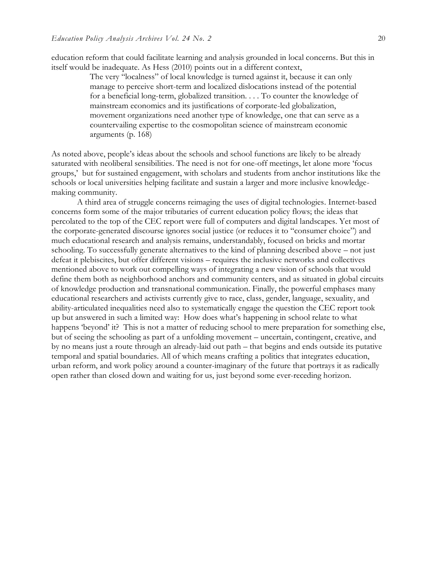education reform that could facilitate learning and analysis grounded in local concerns. But this in itself would be inadequate. As Hess (2010) points out in a different context,

> The very "localness" of local knowledge is turned against it, because it can only manage to perceive short-term and localized dislocations instead of the potential for a beneficial long-term, globalized transition. . . . To counter the knowledge of mainstream economics and its justifications of corporate-led globalization, movement organizations need another type of knowledge, one that can serve as a countervailing expertise to the cosmopolitan science of mainstream economic arguments (p. 168)

As noted above, people's ideas about the schools and school functions are likely to be already saturated with neoliberal sensibilities. The need is not for one-off meetings, let alone more 'focus groups,' but for sustained engagement, with scholars and students from anchor institutions like the schools or local universities helping facilitate and sustain a larger and more inclusive knowledgemaking community.

A third area of struggle concerns reimaging the uses of digital technologies. Internet-based concerns form some of the major tributaries of current education policy flows; the ideas that percolated to the top of the CEC report were full of computers and digital landscapes. Yet most of the corporate-generated discourse ignores social justice (or reduces it to "consumer choice") and much educational research and analysis remains, understandably, focused on bricks and mortar schooling. To successfully generate alternatives to the kind of planning described above – not just defeat it plebiscites, but offer different visions – requires the inclusive networks and collectives mentioned above to work out compelling ways of integrating a new vision of schools that would define them both as neighborhood anchors and community centers, and as situated in global circuits of knowledge production and transnational communication. Finally, the powerful emphases many educational researchers and activists currently give to race, class, gender, language, sexuality, and ability-articulated inequalities need also to systematically engage the question the CEC report took up but answered in such a limited way: How does what's happening in school relate to what happens 'beyond' it? This is not a matter of reducing school to mere preparation for something else, but of seeing the schooling as part of a unfolding movement – uncertain, contingent, creative, and by no means just a route through an already-laid out path – that begins and ends outside its putative temporal and spatial boundaries. All of which means crafting a politics that integrates education, urban reform, and work policy around a counter-imaginary of the future that portrays it as radically open rather than closed down and waiting for us, just beyond some ever-receding horizon.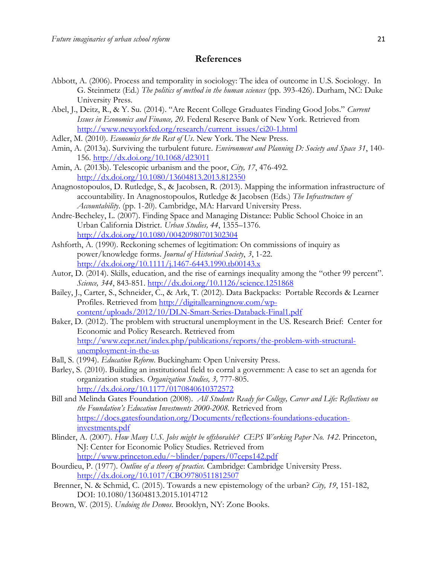#### **References**

- Abbott, A. (2006). Process and temporality in sociology: The idea of outcome in U.S. Sociology. In G. Steinmetz (Ed.) *The politics of method in the human sciences* (pp. 393-426). Durham, NC: Duke University Press.
- Abel, J., Deitz, R., & Y. Su. (2014). "Are Recent College Graduates Finding Good Jobs." *Current Issues in Economics and Finance, 20*. Federal Reserve Bank of New York. Retrieved from [http://www.newyorkfed.org/research/current\\_issues/ci20-1.html](http://www.newyorkfed.org/research/current_issues/ci20-1.html)
- Adler, M. (2010). *Economics for the Rest of Us*. New York. The New Press.
- Amin, A. (2013a). Surviving the turbulent future. *Environment and Planning D: Society and Space 31*, 140- 156.<http://dx.doi.org/10.1068/d23011>
- Amin, A. (2013b). Telescopic urbanism and the poor, *City, 17*, 476-492. <http://dx.doi.org/10.1080/13604813.2013.812350>
- Anagnostopoulos, D. Rutledge, S., & Jacobsen, R. (2013). Mapping the information infrastructure of accountability. In Anagnostopoulos, Rutledge & Jacobsen (Eds.) *The Infrastructure of Accountability*. (pp. 1-20). Cambridge, MA: Harvard University Press.
- Andre-Becheley, L. (2007). Finding Space and Managing Distance: Public School Choice in an Urban California District. *Urban Studies, 44*, 1355–1376. <http://dx.doi.org/10.1080/00420980701302304>
- Ashforth, A. (1990). Reckoning schemes of legitimation: On commissions of inquiry as power/knowledge forms. *Journal of Historical Society*, *3*, 1-22. <http://dx.doi.org/10.1111/j.1467-6443.1990.tb00143.x>
- Autor, D. (2014). Skills, education, and the rise of earnings inequality among the "other 99 percent". *Science, 344*, 843-851.<http://dx.doi.org/10.1126/science.1251868>
- Bailey, J., Carter, S., Schneider, C., & Ark, T. (2012). Data Backpacks: Portable Records & Learner Profiles. Retrieved from [http://digitallearningnow.com/wp](http://digitallearningnow.com/wp-content/uploads/2012/10/DLN-Smart-Series-Databack-Final1.pdf)[content/uploads/2012/10/DLN-Smart-Series-Databack-Final1.pdf](http://digitallearningnow.com/wp-content/uploads/2012/10/DLN-Smart-Series-Databack-Final1.pdf)
- Baker, D. (2012). The problem with structural unemployment in the US. Research Brief: Center for Economic and Policy Research. Retrieved from [http://www.cepr.net/index.php/publications/reports/the-problem-with-structural](http://www.cepr.net/)[unemployment-in-the-us](http://www.cepr.net/)
- Ball, S. (1994). *Education Reform*. Buckingham: Open University Press.
- Barley, S. (2010). Building an institutional field to corral a government: A case to set an agenda for organization studies. *Organization Studies, 3,* 777-805. <http://dx.doi.org/10.1177/0170840610372572>
- Bill and Melinda Gates Foundation (2008). *All Students Ready for College, Career and Life: Reflections on the Foundation's Education Investments 2000-2008.* Retrieved from [https://docs.gatesfoundation.org/Documents/reflections-foundations-education](https://docs.gatesfoundation.org/Documents/reflections-foundations-education-investments.pdf)[investments.pdf](https://docs.gatesfoundation.org/Documents/reflections-foundations-education-investments.pdf)
- Blinder, A. (2007). *How Many U.S. Jobs might be offshorable? CEPS Working Paper No. 142*. Princeton, NJ: Center for Economic Policy Studies. Retrieved from <http://www.princeton.edu/~blinder/papers/07ceps142.pdf>
- Bourdieu, P. (1977). *Outline of a theory of practice.* Cambridge: Cambridge University Press. <http://dx.doi.org/10.1017/CBO9780511812507>
- Brenner, N. & Schmid, C. (2015). Towards a new epistemology of the urban? *City, 19*, 151-182, DOI: 10.1080/13604813.2015.1014712
- Brown, W. (2015). *Undoing the Demos*. Brooklyn, NY: Zone Books.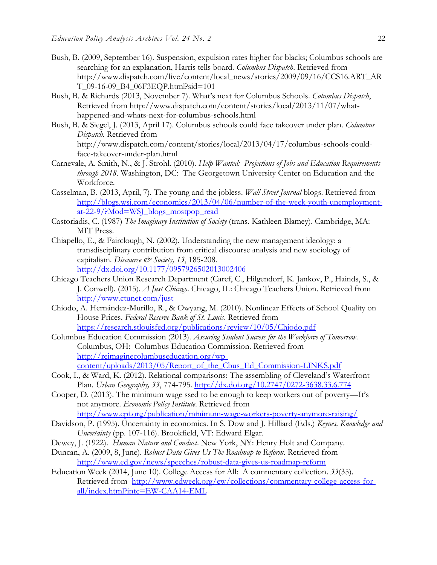- Bush, B. (2009, September 16). Suspension, expulsion rates higher for blacks; Columbus schools are searching for an explanation, Harris tells board. *Columbus Dispatch*. Retrieved from http://www.dispatch.com/live/content/local\_news/stories/2009/09/16/CCS16.ART\_AR T\_09-16-09\_B4\_06F3EQP.html?sid=101
- Bush, B. & Richards (2013, November 7). What's next for Columbus Schools. *Columbus Dispatch*, Retrieved from http://www.dispatch.com/content/stories/local/2013/11/07/whathappened-and-whats-next-for-columbus-schools.html
- Bush, B. & Siegel, J. (2013, April 17). Columbus schools could face takeover under plan. *Columbus Dispatch.* Retrieved from http://www.dispatch.com/content/stories/local/2013/04/17/columbus-schools-could-

face-takeover-under-plan.html

- Carnevale, A. Smith, N., & J. Strohl. (2010). *Help Wanted: Projections of Jobs and Education Requirements through 2018*. Washington, DC: The Georgetown University Center on Education and the Workforce.
- Casselman, B. (2013, April, 7). The young and the jobless. *Wall Street Journal* blogs. Retrieved from [http://blogs.wsj.com/economics/2013/04/06/number-of-the-week-youth-unemployment](http://blogs.wsj.com/economics/2013/04/06/number-of-the-week-youth-unemployment-at-22-9/?Mod=WSJ_blogs_mostpop_read)[at-22-9/?Mod=WSJ\\_blogs\\_mostpop\\_read](http://blogs.wsj.com/economics/2013/04/06/number-of-the-week-youth-unemployment-at-22-9/?Mod=WSJ_blogs_mostpop_read)
- Castoriadis, C. (1987) *The Imaginary Institution of Society* (trans. Kathleen Blamey). Cambridge, MA: MIT Press.
- Chiapello, E., & Fairclough, N. (2002). Understanding the new management ideology: a transdisciplinary contribution from critical discourse analysis and new sociology of capitalism. *Discourse & Society, 13*, 185-208. <http://dx.doi.org/10.1177/0957926502013002406>
- Chicago Teachers Union Research Department (Caref, C., Hilgendorf, K. Jankov, P., Hainds, S., & J. Conwell). (2015). *A Just Chicago*. Chicago, IL: Chicago Teachers Union. Retrieved from <http://www.ctunet.com/just>
- Chiodo, A. Hernández-Murillo, R., & Owyang, M. (2010). Nonlinear Effects of School Quality on House Prices. *Federal Reserve Bank of St. Louis*. Retrieved from <https://research.stlouisfed.org/publications/review/10/05/Chiodo.pdf>
- Columbus Education Commission (2013). *Assuring Student Success for the Workforce of Tomorrow*. Columbus, OH: Columbus Education Commission. Retrieved from [http://reimaginecolumbuseducation.org/wp](http://reimaginecolumbuseducation.org/wp-content/uploads/2013/05/Report_of_the_Cbus_Ed_Commission-LINKS.pdf)[content/uploads/2013/05/Report\\_of\\_the\\_Cbus\\_Ed\\_Commission-LINKS.pdf](http://reimaginecolumbuseducation.org/wp-content/uploads/2013/05/Report_of_the_Cbus_Ed_Commission-LINKS.pdf)
- Cook, I., & Ward, K. (2012). Relational comparisons: The assembling of Cleveland's Waterfront Plan. *Urban Geography, 33*, 774-795.<http://dx.doi.org/10.2747/0272-3638.33.6.774>
- Cooper, D. (2013). The minimum wage ssed to be enough to keep workers out of poverty—It's not anymore. *Economic Policy Institute*. Retrieved from <http://www.epi.org/publication/minimum-wage-workers-poverty-anymore-raising/>
- Davidson, P. (1995). Uncertainty in economics. In S. Dow and J. Hilliard (Eds.) *Keynes, Knowledge and Uncertainty* (pp. 107-116). Brookfield, VT: Edward Elgar.
- Dewey, J. (1922). *Human Nature and Conduct*. New York, NY: Henry Holt and Company.
- Duncan, A. (2009, 8, June). *Robust Data Gives Us The Roadmap to Reform*. Retrieved from <http://www.ed.gov/news/speeches/robust-data-gives-us-roadmap-reform>
- Education Week (2014, June 10). College Access for All: A commentary collection. *33*(35). Retrieved from [http://www.edweek.org/ew/collections/commentary-college-access-for](http://www.edweek.org/ew/collections/commentary-college-access-for-all/index.html?intc=EW-CAA14-EML)[all/index.html?intc=EW-CAA14-EML](http://www.edweek.org/ew/collections/commentary-college-access-for-all/index.html?intc=EW-CAA14-EML)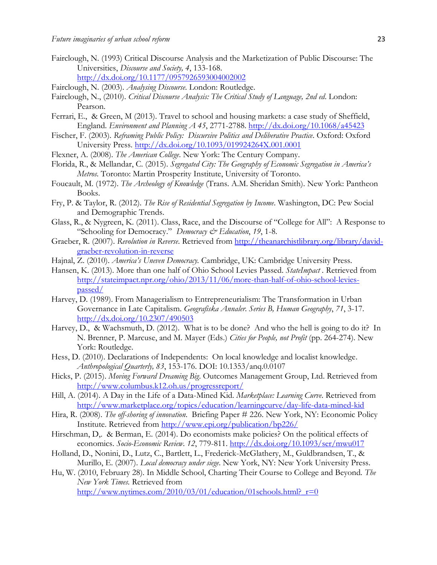- Fairclough, N. (1993) Critical Discourse Analysis and the Marketization of Public Discourse: The Universities, *Discourse and Society, 4*, 133-168. <http://dx.doi.org/10.1177/0957926593004002002>
- Fairclough, N. (2003). *Analysing Discourse*. London: Routledge.
- Fairclough, N., (2010). *Critical Discourse Analysis: The Critical Study of Language, 2nd ed*. London: Pearson.
- Ferrari, E., & Green, M (2013). Travel to school and housing markets: a case study of Sheffield, England. *Environment and Planning A 45*, 2771-2788.<http://dx.doi.org/10.1068/a45423>
- Fischer, F. (2003). *Reframing Public Policy: Discursive Politics and Deliberative Practice*. Oxford: Oxford University Press.<http://dx.doi.org/10.1093/019924264X.001.0001>
- Flexner, A. (2008). *The American College*. New York: The Century Company.
- Florida, R., & Mellandar, C. (2015). *Segregated City: The Geography of Economic Segregation in America's Metros*. Toronto: Martin Prosperity Institute, University of Toronto.
- Foucault, M. (1972). *The Archeology of Knowledge* (Trans. A.M. Sheridan Smith). New York: Pantheon Books.
- Fry, P. & Taylor, R. (2012). *The Rise of Residential Segregation by Income*. Washington, DC: Pew Social and Demographic Trends.
- Glass, R., & Nygreen, K. (2011). Class, Race, and the Discourse of "College for All": A Response to "Schooling for Democracy." *Democracy & Education*, *19*, 1-8.
- Graeber, R. (2007). *Revolution in Reverse*. Retrieved from [http://theanarchistlibrary.org/library/david](http://theanarchistlibrary.org/library/david-graeber-revolution-in-reverse)[graeber-revolution-in-reverse](http://theanarchistlibrary.org/library/david-graeber-revolution-in-reverse)
- Hajnal, Z. (2010). *America's Uneven Democracy.* Cambridge, UK: Cambridge University Press.
- Hansen, K. (2013). More than one half of Ohio School Levies Passed. *StateImpact .* Retrieved from [http://stateimpact.npr.org/ohio/2013/11/06/more-than-half-of-ohio-school-levies](http://stateimpact.npr.org/ohio/2013/11/06/more-than-half-of-ohio-school-levies-passed/)[passed/](http://stateimpact.npr.org/ohio/2013/11/06/more-than-half-of-ohio-school-levies-passed/)
- Harvey, D. (1989). From Managerialism to Entrepreneurialism: The Transformation in Urban Governance in Late Capitalism. *Geografiska Annaler. Series B, Human Geography*, *71*, 3-17. <http://dx.doi.org/10.2307/490503>
- Harvey, D., & Wachsmuth, D. (2012). What is to be done? And who the hell is going to do it? In N. Brenner, P. Marcuse, and M. Mayer (Eds.) *Cities for People, not Profit* (pp. 264-274). New York: Routledge.
- Hess, D. (2010). Declarations of Independents: On local knowledge and localist knowledge. *Anthropological Quarterly, 83*, 153-176. DOI: 10.1353/anq.0.0107
- Hicks, P. (2015). *Moving Forward Dreaming Big*. Outcomes Management Group, Ltd. Retrieved from <http://www.columbus.k12.oh.us/progressreport/>
- Hill, A. (2014). A Day in the Life of a Data-Mined Kid. *Marketplace: Learning Curve*. Retrieved from <http://www.marketplace.org/topics/education/learningcurve/day-life-data-mined-kid>
- Hira, R. (2008). *The off-shoring of innovation*. Briefing Paper # 226. New York, NY: Economic Policy Institute. Retrieved from<http://www.epi.org/publication/bp226/>
- Hirschman, D,. & Berman, E. (2014). Do economists make policies? On the political effects of economics. *Socio-Economic Review*. *12*, 779-811.<http://dx.doi.org/10.1093/ser/mwu017>
- Holland, D., Nonini, D., Lutz, C., Bartlett, L., Frederick-McGlathery, M., Guldbrandsen, T., & Murillo, E. (2007). *Local democracy under siege*. New York, NY: New York University Press.
- Hu, W. (2010, February 28). In Middle School, Charting Their Course to College and Beyond. *The New York Times.* Retrieved from

http://www.nytimes.com/2010/03/01/education/01schools.html? $r=0$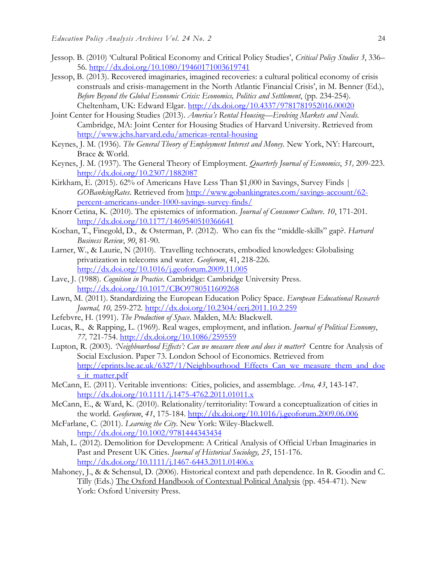- Jessop. B. (2010) 'Cultural Political Economy and Critical Policy Studies', *Critical Policy Studies 3*, 336– 56.<http://dx.doi.org/10.1080/19460171003619741>
- Jessop, B. (2013). Recovered imaginaries, imagined recoveries: a cultural political economy of crisis construals and crisis-management in the North Atlantic Financial Crisis', in M. Benner (Ed.), *Before Beyond the Global Economic Crisis: Economics, Politics and Settlement*, (pp. 234-254). Cheltenham, UK: Edward Elgar.<http://dx.doi.org/10.4337/9781781952016.00020>
- Joint Center for Housing Studies (2013). *America's Rental Housing—Evolving Markets and Needs.*  Cambridge, MA: Joint Center for Housing Studies of Harvard University. Retrieved from <http://www.jchs.harvard.edu/americas-rental-housing>
- Keynes, J. M. (1936). *The General Theory of Employment Interest and Money*. New York, NY: Harcourt, Brace & World.
- Keynes, J. M. (1937). The General Theory of Employment. *Quarterly Journal of Economics*, *51,* 209-223. <http://dx.doi.org/10.2307/1882087>
- Kirkham, E. (2015). 62% of Americans Have Less Than \$1,000 in Savings, Survey Finds | *GOBankingRates*. Retrieved from [http://www.gobankingrates.com/savings-account/62](http://www.gobankingrates.com/savings-account/62-percent-americans-under-1000-savings-survey-finds/) [percent-americans-under-1000-savings-survey-finds/](http://www.gobankingrates.com/savings-account/62-percent-americans-under-1000-savings-survey-finds/)
- Knorr Cetina, K. (2010). The epistemics of information. *Journal of Consumer Culture*. *10*, 171-201. <http://dx.doi.org/10.1177/1469540510366641>
- Kochan, T., Finegold, D., & Osterman, P. (2012). Who can fix the "middle-skills" gap?. *Harvard Business Review*, *90*, 81-90.
- Larner, W., & Laurie, N (2010). Travelling technocrats, embodied knowledges: Globalising privatization in telecoms and water. *Geoforum*, 41, 218-226. <http://dx.doi.org/10.1016/j.geoforum.2009.11.005>
- Lave, J. (1988). *Cognition in Practice*. Cambridge: Cambridge University Press. <http://dx.doi.org/10.1017/CBO9780511609268>
- Lawn, M. (2011). Standardizing the European Education Policy Space. *European Educational Research Journal, 10,* 259-272*.* <http://dx.doi.org/10.2304/eerj.2011.10.2.259>
- Lefebvre, H. (1991). *The Production of Space*. Malden, MA: Blackwell.
- Lucas, R., & Rapping, L. (1969). Real wages, employment, and inflation. *Journal of Political Economy*, *77,* 721-754.<http://dx.doi.org/10.1086/259559>
- Lupton, R. (2003). *'Neighbourhood Effects': Can we measure them and does it matter?* Centre for Analysis of Social Exclusion. Paper 73. London School of Economics. Retrieved from http://eprints.lse.ac.uk/6327/1/Neighbourhood Effects Can we measure them and doe s it matter.pdf
- McCann, E. (2011). Veritable inventions: Cities, policies, and assemblage. *Area, 43*, 143-147. <http://dx.doi.org/10.1111/j.1475-4762.2011.01011.x>
- McCann, E., & Ward, K. (2010). Relationality/territoriality: Toward a conceptualization of cities in the world. *Geoforum*, *41*, 175-184.<http://dx.doi.org/10.1016/j.geoforum.2009.06.006>
- McFarlane, C. (2011). *Learning the City*. New York: Wiley-Blackwell. <http://dx.doi.org/10.1002/9781444343434>
- Mah, L. (2012). Demolition for Development: A Critical Analysis of Official Urban Imaginaries in Past and Present UK Cities. *Journal of Historical Sociology, 25*, 151-176. <http://dx.doi.org/10.1111/j.1467-6443.2011.01406.x>
- Mahoney, J., & & Schensul, D. (2006). Historical context and path dependence. In R. Goodin and C. Tilly (Eds.) The Oxford Handbook of Contextual Political Analysis (pp. 454-471). New York: Oxford University Press.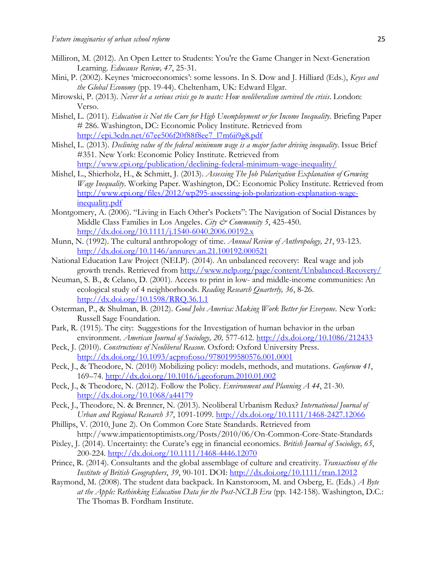- Milliron, M. (2012). An Open Letter to Students: You're the Game Changer in Next-Generation Learning. *Educause Review, 47*, 25-31.
- Mini, P. (2002). Keynes 'microeconomics': some lessons. In S. Dow and J. Hilliard (Eds.), *Keyes and the Global Economy* (pp. 19-44). Cheltenham, UK: Edward Elgar.
- Mirowski, P. (2013). *Never let a serious crisis go to waste: How neoliberalism survived the crisis*. London: Verso.
- Mishel, L. (2011). *Education is Not the Cure for High Unemployment or for Income Inequality*. Briefing Paper # 286. Washington, DC: Economic Policy Institute. Retrieved from [http://epi.3cdn.net/67ee506f20f88f8ee7\\_l7m6ii9g8.pdf](http://epi.3cdn.net/67ee506f20f88f8ee7_l7m6ii9g8.pdf)
- Mishel, L. (2013). *Declining value of the federal minimum wage is a major factor driving inequality*. Issue Brief #351. New York: Economic Policy Institute. Retrieved from <http://www.epi.org/publication/declining-federal-minimum-wage-inequality/>
- Mishel, L., Shierholz, H., & Schmitt, J. (2013). *Assessing The Job Polarization Explanation of Growing Wage Inequality*. Working Paper. Washington, DC: Economic Policy Institute. Retrieved from [http://www.epi.org/files/2012/wp295-assessing-job-polarization-explanation-wage](http://www.epi.org/files/2012/wp295-assessing-job-polarization-explanation-wage-inequality.pdf)[inequality.pdf](http://www.epi.org/files/2012/wp295-assessing-job-polarization-explanation-wage-inequality.pdf)
- Montgomery, A. (2006). "Living in Each Other's Pockets": The Navigation of Social Distances by Middle Class Families in Los Angeles. *City & Community 5*, 425-450. <http://dx.doi.org/10.1111/j.1540-6040.2006.00192.x>
- Munn, N. (1992). The cultural anthropology of time. *Annual Review of Anthropology, 21*, 93-123. <http://dx.doi.org/10.1146/annurev.an.21.100192.000521>
- National Education Law Project (NELP). (2014). An unbalanced recovery: Real wage and job growth trends. Retrieved from<http://www.nelp.org/page/content/Unbalanced-Recovery/>
- Neuman, S. B., & Celano, D. (2001). Access to print in low- [and middle-income communities: An](http://www-personal.umich.edu/~sbneuman/pdf/AccessToPrint.pdf)  [ecological study of 4 neighborhoods.](http://www-personal.umich.edu/~sbneuman/pdf/AccessToPrint.pdf) *Reading Research Quarterly, 36*, 8-26. <http://dx.doi.org/10.1598/RRQ.36.1.1>
- Osterman, P., & Shulman, B. (2012). *Good Jobs America: Making Work Better for Everyone*. New York: Russell Sage Foundation.
- Park, R. (1915). The city: Suggestions for the Investigation of human behavior in the urban environment. *American Journal of Sociology, 20,* 577-612.<http://dx.doi.org/10.1086/212433>
- Peck, J. (2010). *Constructions of Neoliberal Reason*. Oxford: Oxford University Press. <http://dx.doi.org/10.1093/acprof:oso/9780199580576.001.0001>
- Peck, J., & Theodore, N. (2010) Mobilizing policy: models, methods, and mutations. *Geoforum 41*, 169–74.<http://dx.doi.org/10.1016/j.geoforum.2010.01.002>
- Peck, J., & Theodore, N. (2012). Follow the Policy. *Environment and Planning A 44*, 21-30. <http://dx.doi.org/10.1068/a44179>
- Peck, J., Theodore, N. & Brenner, N. (2013). Neoliberal Urbanism Redux? *International Journal of Urban and Regional Research 37*, 1091-1099.<http://dx.doi.org/10.1111/1468-2427.12066>
- Phillips, V. (2010, June 2). On Common Core State Standards. Retrieved from http://www.impatientoptimists.org/Posts/2010/06/On-Common-Core-State-Standards
- Pixley, J. (2014). Uncertainty: the Curate's egg in financial economics. *British Journal of Sociology, 65*, 200-224.<http://dx.doi.org/10.1111/1468-4446.12070>
- Prince, R. (2014). Consultants and the global assemblage of culture and creativity. *Transactions of the Institute of British Geographers*, *39*, 90-101. DOI: <http://dx.doi.org/10.1111/tran.12012>
- Raymond, M. (2008). The student data backpack. In Kanstoroom, M. and Osberg, E. (Eds.) *A Byte at the Apple: Rethinking Education Data for the Post-NCLB Era* (pp. 142-158). Washington, D.C.: The Thomas B. Fordham Institute.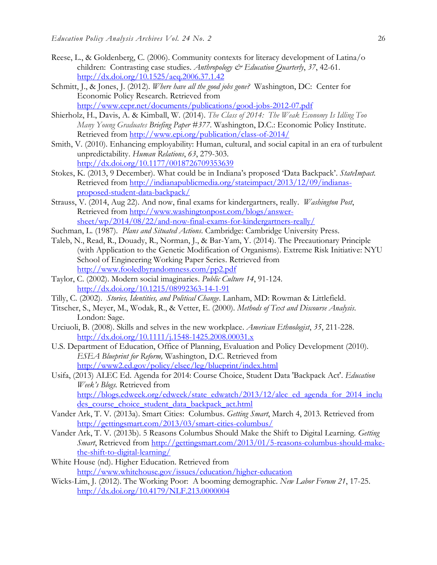- Reese, L., & Goldenberg, C. (2006). Community contexts for literacy development of Latina/o children: Contrasting case studies. *Anthropology & Education Quarterly*, *37*, 42-61. <http://dx.doi.org/10.1525/aeq.2006.37.1.42>
- Schmitt, J., & Jones, J. (2012). *Where have all the good jobs gone?* Washington, DC: Center for Economic Policy Research. Retrieved from <http://www.cepr.net/documents/publications/good-jobs-2012-07.pdf>
- Shierholz, H., Davis, A. & Kimball, W. (2014). *The Class of 2014: The Weak Economy Is Idling Too Many Young Graduates Briefing Paper #377*. Washington, D.C.: Economic Policy Institute. Retrieved from<http://www.epi.org/publication/class-of-2014/>
- Smith, V. (2010). Enhancing employability: Human, cultural, and social capital in an era of turbulent unpredictability. *Human Relations*, *63*, 279-303. <http://dx.doi.org/10.1177/0018726709353639>
- Stokes, K. (2013, 9 December). What could be in Indiana's proposed 'Data Backpack'. *StateImpact.*  Retrieved from [http://indianapublicmedia.org/stateimpact/2013/12/09/indianas](http://indianapublicmedia.org/stateimpact/2013/12/09/indianas-proposed-student-data-backpack/)[proposed-student-data-backpack/](http://indianapublicmedia.org/stateimpact/2013/12/09/indianas-proposed-student-data-backpack/)
- Strauss, V. (2014, Aug 22). And now, final exams for kindergartners, really. *Washington Post*, Retrieved from [http://www.washingtonpost.com/blogs/answer](http://www.washingtonpost.com/blogs/answer-sheet/wp/2014/08/22/and-now-final-exams-for-kindergartners-really/)[sheet/wp/2014/08/22/and-now-final-exams-for-kindergartners-really/](http://www.washingtonpost.com/blogs/answer-sheet/wp/2014/08/22/and-now-final-exams-for-kindergartners-really/)
- Suchman, L. (1987). *Plans and Situated Actions*. Cambridge: Cambridge University Press.
- Taleb, N., Read, R., Douady, R., Norman, J., & Bar-Yam, Y. (2014). The Precautionary Principle (with Application to the Genetic Modification of Organisms). Extreme Risk Initiative: NYU School of Engineering Working Paper Series. Retrieved from <http://www.fooledbyrandomness.com/pp2.pdf>
- Taylor, C. (2002). Modern social imaginaries. *Public Culture 14*, 91-124. <http://dx.doi.org/10.1215/08992363-14-1-91>
- Tilly, C. (2002). *Stories, Identities, and Political Change*. Lanham, MD: Rowman & Littlefield.
- Titscher, S., Meyer, M., Wodak, R., & Vetter, E. (2000). *Methods of Text and Discourse Analysis*. London: Sage.
- Urciuoli, B. (2008). Skills and selves in the new workplace. *American Ethnologist*, *35*, 211-228. <http://dx.doi.org/10.1111/j.1548-1425.2008.00031.x>
- U.S. Department of Education, Office of Planning, Evaluation and Policy Development (2010). *ESEA Blueprint for Reform,* Washington, D.C. Retrieved from <http://www2.ed.gov/policy/elsec/leg/blueprint/index.html>
- Usifa, (2013) ALEC Ed. Agenda for 2014: Course Choice, Student Data 'Backpack Act'. *Education Week's Blogs.* Retrieved from [http://blogs.edweek.org/edweek/state\\_edwatch/2013/12/alec\\_ed\\_agenda\\_for\\_2014\\_inclu](http://blogs.edweek.org/edweek/state_edwatch/2013/12/alec_ed_agenda_for_2014_includes_course_choice_student_data_backpack_act.html) des course choice student data backpack act.html
- Vander Ark, T. V. (2013a). Smart Cities: Columbus. *Getting Smart*, March 4, 2013. Retrieved from <http://gettingsmart.com/2013/03/smart-cities-columbus/>
- Vander Ark, T. V. (2013b). 5 Reasons Columbus Should Make the Shift to Digital Learning. *Getting Smart*, Retrieved from [http://gettingsmart.com/2013/01/5-reasons-columbus-should-make](http://gettingsmart.com/2013/01/5-reasons-columbus-should-make-the-shift-to-digital-learning/)[the-shift-to-digital-learning/](http://gettingsmart.com/2013/01/5-reasons-columbus-should-make-the-shift-to-digital-learning/)
- White House (nd). Higher Education. Retrieved from <http://www.whitehouse.gov/issues/education/higher-education>
- Wicks-Lim, J. (2012). The Working Poor: A booming demographic. *New Labor Forum 21*, 17-25. <http://dx.doi.org/10.4179/NLF.213.0000004>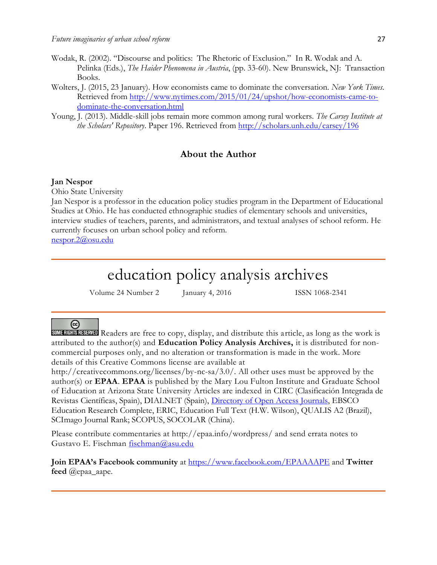- Wodak, R. (2002). "Discourse and politics: The Rhetoric of Exclusion." In R. Wodak and A. Pelinka (Eds.), *The Haider Phenomena in Austria*, (pp. 33-60). New Brunswick, NJ: Transaction Books.
- Wolters, J. (2015, 23 January). How economists came to dominate the conversation. *New York Times*. Retrieved from [http://www.nytimes.com/2015/01/24/upshot/how-economists-came-to](http://www.nytimes.com/2015/01/24/upshot/how-economists-came-to-dominate-the-conversation.html)[dominate-the-conversation.html](http://www.nytimes.com/2015/01/24/upshot/how-economists-came-to-dominate-the-conversation.html)
- Young, J. (2013). Middle-skill jobs remain more common among rural workers. *The Carsey Institute at the Scholars' Repository*. Paper 196. Retrieved from<http://scholars.unh.edu/carsey/196>

### **About the Author**

#### **Jan Nespor**

Ohio State University

Jan Nespor is a professor in the education policy studies program in the Department of Educational Studies at Ohio. He has conducted ethnographic studies of elementary schools and universities, interview studies of teachers, parents, and administrators, and textual analyses of school reform. He currently focuses on urban school policy and reform.

[nespor.2@osu.edu](mailto:nespor.2@osu.edu)

## education policy analysis archives

Volume 24 Number 2 January 4, 2016 ISSN 1068-2341

### @

SOME RIGHTS RESERVED Readers are free to copy, display, and distribute this article, as long as the work is attributed to the author(s) and **Education Policy Analysis Archives,** it is distributed for noncommercial purposes only, and no alteration or transformation is made in the work. More details of this Creative Commons license are available at

http://creativecommons.org/licenses/by-nc-sa/3.0/. All other uses must be approved by the author(s) or **EPAA**. **EPAA** is published by the Mary Lou Fulton Institute and Graduate School of Education at Arizona State University Articles are indexed in CIRC (Clasificación Integrada de Revistas Científicas, Spain), DIALNET (Spain), [Directory of Open Access Journals,](http://www.doaj.org/) EBSCO Education Research Complete, ERIC, Education Full Text (H.W. Wilson), QUALIS A2 (Brazil), SCImago Journal Rank; SCOPUS, SOCOLAR (China).

Please contribute commentaries at http://epaa.info/wordpress/ and send errata notes to Gustavo E. Fischman [fischman@asu.edu](mailto:fischman@asu.edu)

**Join EPAA's Facebook community** at<https://www.facebook.com/EPAAAAPE> and **Twitter feed** @epaa\_aape.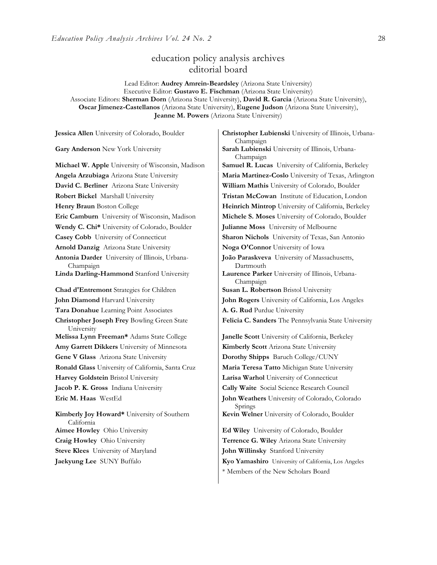## education policy analysis archives editorial board

Lead Editor: **Audrey Amrein-Beardsley** (Arizona State University) Executive Editor: **Gustavo E. Fischman** (Arizona State University) Associate Editors: **Sherman Dorn** (Arizona State University), **David R. Garcia** (Arizona State University), **Oscar Jimenez-Castellanos** (Arizona State University), **Eugene Judson** (Arizona State University), **Jeanne M. Powers** (Arizona State University)

| Jessica Allen University of Colorado, Boulder               | Christopher Lubienski University of Illinois, Urbana-<br>Champaign |
|-------------------------------------------------------------|--------------------------------------------------------------------|
| Gary Anderson New York University                           | Sarah Lubienski University of Illinois, Urbana-<br>Champaign       |
| Michael W. Apple University of Wisconsin, Madison           | Samuel R. Lucas University of California, Berkeley                 |
| Angela Arzubiaga Arizona State University                   | Maria Martinez-Coslo University of Texas, Arlington                |
| David C. Berliner Arizona State University                  | William Mathis University of Colorado, Boulder                     |
| Robert Bickel Marshall University                           | Tristan McCowan Institute of Education, London                     |
| Henry Braun Boston College                                  | Heinrich Mintrop University of California, Berkeley                |
| Eric Camburn University of Wisconsin, Madison               | Michele S. Moses University of Colorado, Boulder                   |
| Wendy C. Chi* University of Colorado, Boulder               | Julianne Moss University of Melbourne                              |
| Casey Cobb University of Connecticut                        | Sharon Nichols University of Texas, San Antonio                    |
| Arnold Danzig Arizona State University                      | Noga O'Connor University of Iowa                                   |
| Antonia Darder University of Illinois, Urbana-<br>Champaign | João Paraskveva University of Massachusetts,<br>Dartmouth          |
| Linda Darling-Hammond Stanford University                   | Laurence Parker University of Illinois, Urbana-<br>Champaign       |
| Chad d'Entremont Strategies for Children                    | Susan L. Robertson Bristol University                              |
| John Diamond Harvard University                             | John Rogers University of California, Los Angeles                  |
| Tara Donahue Learning Point Associates                      | A. G. Rud Purdue University                                        |
| Christopher Joseph Frey Bowling Green State<br>University   | Felicia C. Sanders The Pennsylvania State University               |
| Melissa Lynn Freeman* Adams State College                   | Janelle Scott University of California, Berkeley                   |
| Amy Garrett Dikkers University of Minnesota                 | Kimberly Scott Arizona State University                            |
| Gene V Glass Arizona State University                       | Dorothy Shipps Baruch College/CUNY                                 |
| Ronald Glass University of California, Santa Cruz           | Maria Teresa Tatto Michigan State University                       |
| Harvey Goldstein Bristol University                         | Larisa Warhol University of Connecticut                            |
| Jacob P. K. Gross Indiana University                        | Cally Waite Social Science Research Council                        |
| Eric M. Haas WestEd                                         | John Weathers University of Colorado, Colorado<br>Springs          |
| Kimberly Joy Howard* University of Southern<br>California   | Kevin Welner University of Colorado, Boulder                       |
| Aimee Howley Ohio University                                | Ed Wiley University of Colorado, Boulder                           |
| Craig Howley Ohio University                                | Terrence G. Wiley Arizona State University                         |
| Steve Klees University of Maryland                          | John Willinsky Stanford University                                 |
| Jaekyung Lee SUNY Buffalo                                   | Kyo Yamashiro University of California, Los Angeles                |

\* Members of the New Scholars Board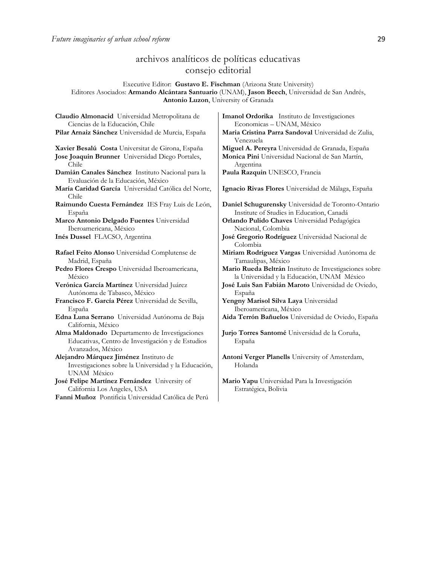## archivos analíticos de políticas educativas consejo editorial

#### Executive Editor: **Gustavo E. Fischman** (Arizona State University) Editores Asociados: **Armando Alcántara Santuario** (UNAM), **Jason Beech**, Universidad de San Andrés, **Antonio Luzon**, University of Granada

| Claudio Almonacid Universidad Metropolitana de                                                                           | Imanol Ordorika Instituto de Investigaciones                     |
|--------------------------------------------------------------------------------------------------------------------------|------------------------------------------------------------------|
| Ciencias de la Educación, Chile                                                                                          | Economicas - UNAM, México                                        |
| Pilar Arnaiz Sánchez Universidad de Murcia, España                                                                       | Maria Cristina Parra Sandoval Universidad de Zulia,<br>Venezuela |
| Xavier Besalú Costa Universitat de Girona, España                                                                        | Miguel A. Pereyra Universidad de Granada, España                 |
| Jose Joaquin Brunner Universidad Diego Portales,                                                                         | Monica Pini Universidad Nacional de San Martín,                  |
| Chile                                                                                                                    | Argentina                                                        |
| Damián Canales Sánchez Instituto Nacional para la<br>Evaluación de la Educación, México                                  | Paula Razquin UNESCO, Francia                                    |
| María Caridad García Universidad Católica del Norte,<br>Chile                                                            | Ignacio Rivas Flores Universidad de Málaga, España               |
| Raimundo Cuesta Fernández IES Fray Luis de León,                                                                         | Daniel Schugurensky Universidad de Toronto-Ontario               |
| España                                                                                                                   | Institute of Studies in Education, Canadá                        |
| Marco Antonio Delgado Fuentes Universidad                                                                                | Orlando Pulido Chaves Universidad Pedagógica                     |
| Iberoamericana, México                                                                                                   | Nacional, Colombia                                               |
| Inés Dussel FLACSO, Argentina                                                                                            | José Gregorio Rodríguez Universidad Nacional de<br>Colombia      |
| Rafael Feito Alonso Universidad Complutense de                                                                           | Miriam Rodríguez Vargas Universidad Autónoma de                  |
| Madrid, España                                                                                                           | Tamaulipas, México                                               |
| Pedro Flores Crespo Universidad Iberoamericana,                                                                          | Mario Rueda Beltrán Instituto de Investigaciones sobre           |
| México                                                                                                                   | la Universidad y la Educación, UNAM México                       |
| Verónica García Martínez Universidad Juárez                                                                              | José Luis San Fabián Maroto Universidad de Oviedo,               |
| Autónoma de Tabasco, México                                                                                              | España                                                           |
| Francisco F. García Pérez Universidad de Sevilla,                                                                        | Yengny Marisol Silva Laya Universidad                            |
| España                                                                                                                   | Iberoamericana, México                                           |
| Edna Luna Serrano Universidad Autónoma de Baja<br>California, México                                                     | Aida Terrón Bañuelos Universidad de Oviedo, España               |
| Alma Maldonado Departamento de Investigaciones<br>Educativas, Centro de Investigación y de Estudios<br>Avanzados, México | Jurjo Torres Santomé Universidad de la Coruña,<br>España         |
| Alejandro Márquez Jiménez Instituto de<br>Investigaciones sobre la Universidad y la Educación,<br>UNAM México            | Antoni Verger Planells University of Amsterdam,<br>Holanda       |
| José Felipe Martínez Fernández University of                                                                             | Mario Yapu Universidad Para la Investigación                     |
| California Los Angeles, USA                                                                                              | Estratégica, Bolivia                                             |
| Fanni Muñoz Pontificia Universidad Católica de Perú                                                                      |                                                                  |